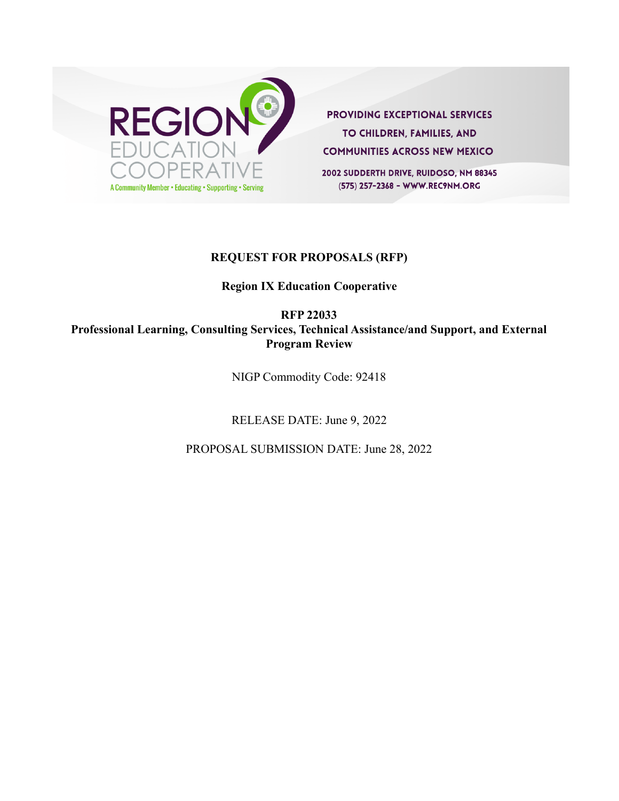

**PROVIDING EXCEPTIONAL SERVICES** TO CHILDREN, FAMILIES, AND **COMMUNITIES ACROSS NEW MEXICO** 

2002 SUDDERTH DRIVE, RUIDOSO, NM 88345 (575) 257-2368 - WWW.REC9NM.ORG

#### **REQUEST FOR PROPOSALS (RFP)**

### **Region IX Education Cooperative**

**RFP 22033**

**Professional Learning, Consulting Services, Technical Assistance/and Support, and External Program Review**

NIGP Commodity Code: 92418

RELEASE DATE: June 9, 2022

PROPOSAL SUBMISSION DATE: June 28, 2022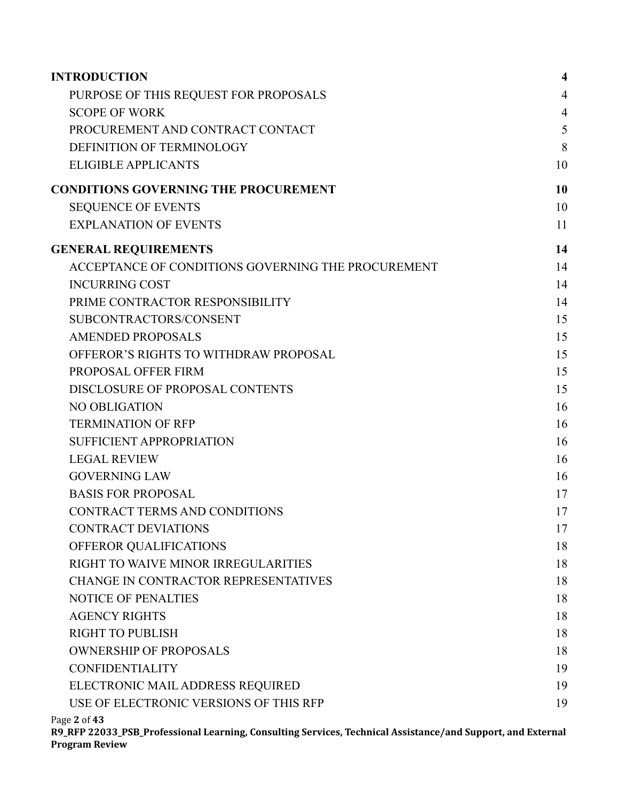| <b>INTRODUCTION</b>                                | $\overline{\mathbf{4}}$ |
|----------------------------------------------------|-------------------------|
| PURPOSE OF THIS REQUEST FOR PROPOSALS              | $\overline{4}$          |
| <b>SCOPE OF WORK</b>                               | $\overline{4}$          |
| PROCUREMENT AND CONTRACT CONTACT                   | 5                       |
| DEFINITION OF TERMINOLOGY                          | 8                       |
| <b>ELIGIBLE APPLICANTS</b>                         | 10                      |
| <b>CONDITIONS GOVERNING THE PROCUREMENT</b>        | 10                      |
| <b>SEQUENCE OF EVENTS</b>                          | 10                      |
| <b>EXPLANATION OF EVENTS</b>                       | 11                      |
| <b>GENERAL REQUIREMENTS</b>                        | 14                      |
| ACCEPTANCE OF CONDITIONS GOVERNING THE PROCUREMENT | 14                      |
| <b>INCURRING COST</b>                              | 14                      |
| PRIME CONTRACTOR RESPONSIBILITY                    | 14                      |
| SUBCONTRACTORS/CONSENT                             | 15                      |
| <b>AMENDED PROPOSALS</b>                           | 15                      |
| OFFEROR'S RIGHTS TO WITHDRAW PROPOSAL              | 15                      |
| PROPOSAL OFFER FIRM                                | 15                      |
| DISCLOSURE OF PROPOSAL CONTENTS                    | 15                      |
| NO OBLIGATION                                      | 16                      |
| <b>TERMINATION OF RFP</b>                          | 16                      |
| <b>SUFFICIENT APPROPRIATION</b>                    | 16                      |
| <b>LEGAL REVIEW</b>                                | 16                      |
| <b>GOVERNING LAW</b>                               | 16                      |
| <b>BASIS FOR PROPOSAL</b>                          | 17                      |
| CONTRACT TERMS AND CONDITIONS                      | 17                      |
| <b>CONTRACT DEVIATIONS</b>                         | 17                      |
| OFFEROR QUALIFICATIONS                             | 18                      |
| RIGHT TO WAIVE MINOR IRREGULARITIES                | 18                      |
| CHANGE IN CONTRACTOR REPRESENTATIVES               | 18                      |
| <b>NOTICE OF PENALTIES</b>                         | 18                      |
| <b>AGENCY RIGHTS</b>                               | 18                      |
| <b>RIGHT TO PUBLISH</b>                            | 18                      |
| <b>OWNERSHIP OF PROPOSALS</b>                      | 18                      |
| <b>CONFIDENTIALITY</b>                             | 19                      |
| ELECTRONIC MAIL ADDRESS REQUIRED                   | 19                      |
| USE OF ELECTRONIC VERSIONS OF THIS RFP             | 19                      |
|                                                    |                         |

Page **2** of **43**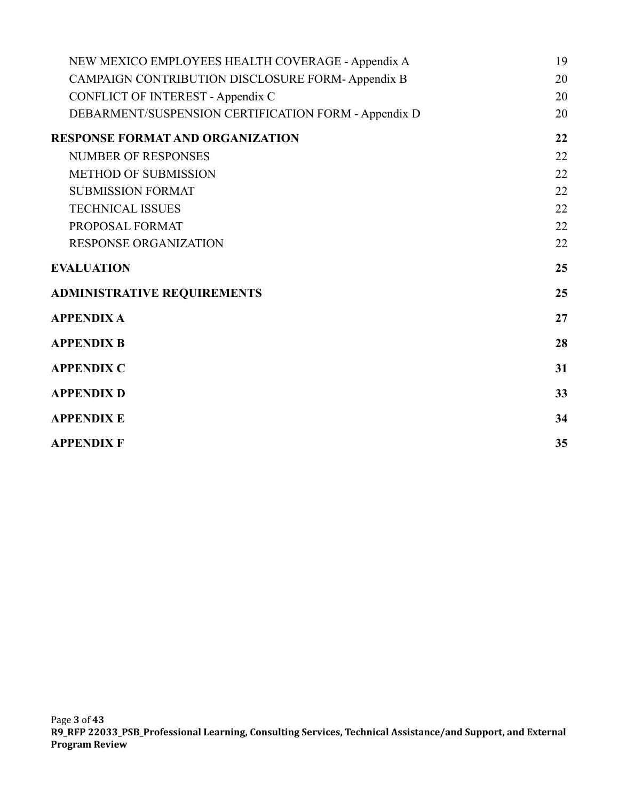| NEW MEXICO EMPLOYEES HEALTH COVERAGE - Appendix A    | 19 |
|------------------------------------------------------|----|
| CAMPAIGN CONTRIBUTION DISCLOSURE FORM- Appendix B    | 20 |
| <b>CONFLICT OF INTEREST - Appendix C</b>             | 20 |
| DEBARMENT/SUSPENSION CERTIFICATION FORM - Appendix D | 20 |
| <b>RESPONSE FORMAT AND ORGANIZATION</b>              | 22 |
| <b>NUMBER OF RESPONSES</b>                           | 22 |
| <b>METHOD OF SUBMISSION</b>                          | 22 |
| <b>SUBMISSION FORMAT</b>                             | 22 |
| <b>TECHNICAL ISSUES</b>                              | 22 |
| PROPOSAL FORMAT                                      | 22 |
| <b>RESPONSE ORGANIZATION</b>                         | 22 |
| <b>EVALUATION</b>                                    | 25 |
| <b>ADMINISTRATIVE REQUIREMENTS</b>                   | 25 |
| <b>APPENDIX A</b>                                    | 27 |
| <b>APPENDIX B</b>                                    | 28 |
| <b>APPENDIX C</b>                                    | 31 |
| <b>APPENDIX D</b>                                    | 33 |
| <b>APPENDIX E</b>                                    | 34 |
| <b>APPENDIX F</b>                                    | 35 |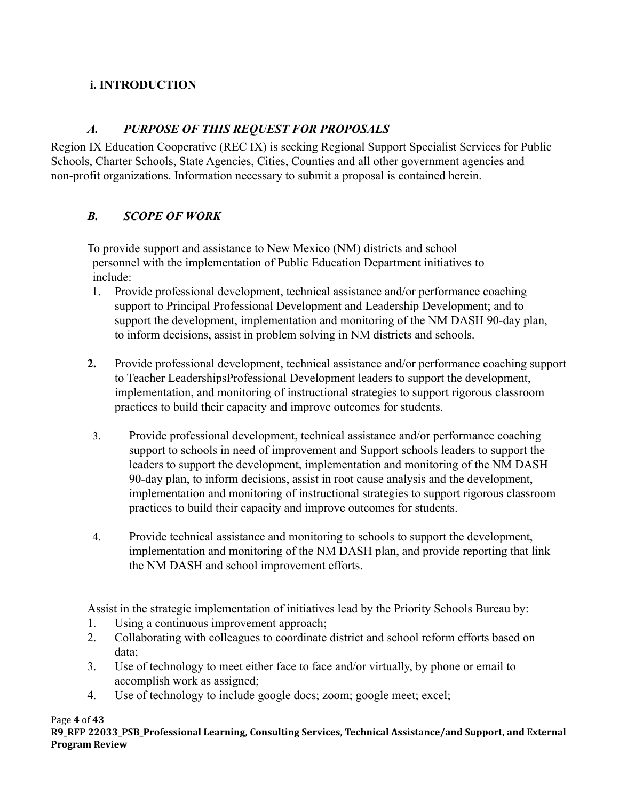# <span id="page-3-0"></span>**i. INTRODUCTION**

# *A. PURPOSE OF THIS REQUEST FOR PROPOSALS*

<span id="page-3-1"></span>Region IX Education Cooperative (REC IX) is seeking Regional Support Specialist Services for Public Schools, Charter Schools, State Agencies, Cities, Counties and all other government agencies and non-profit organizations. Information necessary to submit a proposal is contained herein.

# <span id="page-3-2"></span>*B. SCOPE OF WORK*

To provide support and assistance to New Mexico (NM) districts and school personnel with the implementation of Public Education Department initiatives to include:

- 1. Provide professional development, technical assistance and/or performance coaching support to Principal Professional Development and Leadership Development; and to support the development, implementation and monitoring of the NM DASH 90-day plan, to inform decisions, assist in problem solving in NM districts and schools.
- **2.** Provide professional development, technical assistance and/or performance coaching support to Teacher LeadershipsProfessional Development leaders to support the development, implementation, and monitoring of instructional strategies to support rigorous classroom practices to build their capacity and improve outcomes for students.
- 3. Provide professional development, technical assistance and/or performance coaching support to schools in need of improvement and Support schools leaders to support the leaders to support the development, implementation and monitoring of the NM DASH 90-day plan, to inform decisions, assist in root cause analysis and the development, implementation and monitoring of instructional strategies to support rigorous classroom practices to build their capacity and improve outcomes for students.
- 4. Provide technical assistance and monitoring to schools to support the development, implementation and monitoring of the NM DASH plan, and provide reporting that link the NM DASH and school improvement efforts.

Assist in the strategic implementation of initiatives lead by the Priority Schools Bureau by:

- 1. Using a continuous improvement approach;
- 2. Collaborating with colleagues to coordinate district and school reform efforts based on data;
- 3. Use of technology to meet either face to face and/or virtually, by phone or email to accomplish work as assigned;
- 4. Use of technology to include google docs; zoom; google meet; excel;

Page **4** of **43**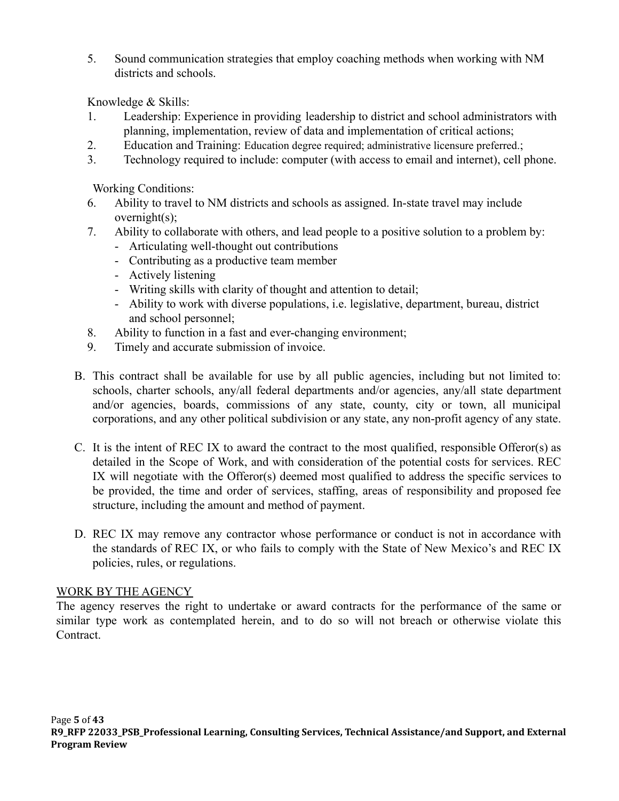5. Sound communication strategies that employ coaching methods when working with NM districts and schools.

Knowledge & Skills:

- 1. Leadership: Experience in providing leadership to district and school administrators with planning, implementation, review of data and implementation of critical actions;
- 2. Education and Training: Education degree required; administrative licensure preferred.;
- 3. Technology required to include: computer (with access to email and internet), cell phone.

Working Conditions:

- 6. Ability to travel to NM districts and schools as assigned. In-state travel may include overnight(s);
- 7. Ability to collaborate with others, and lead people to a positive solution to a problem by:
	- Articulating well-thought out contributions
	- Contributing as a productive team member
	- Actively listening
	- Writing skills with clarity of thought and attention to detail;
	- Ability to work with diverse populations, i.e. legislative, department, bureau, district and school personnel;
- 8. Ability to function in a fast and ever-changing environment;
- 9. Timely and accurate submission of invoice.
- B. This contract shall be available for use by all public agencies, including but not limited to: schools, charter schools, any/all federal departments and/or agencies, any/all state department and/or agencies, boards, commissions of any state, county, city or town, all municipal corporations, and any other political subdivision or any state, any non-profit agency of any state.
- C. It is the intent of REC IX to award the contract to the most qualified, responsible Offeror(s) as detailed in the Scope of Work, and with consideration of the potential costs for services. REC IX will negotiate with the Offeror(s) deemed most qualified to address the specific services to be provided, the time and order of services, staffing, areas of responsibility and proposed fee structure, including the amount and method of payment.
- D. REC IX may remove any contractor whose performance or conduct is not in accordance with the standards of REC IX, or who fails to comply with the State of New Mexico's and REC IX policies, rules, or regulations.

## WORK BY THE AGENCY

The agency reserves the right to undertake or award contracts for the performance of the same or similar type work as contemplated herein, and to do so will not breach or otherwise violate this Contract.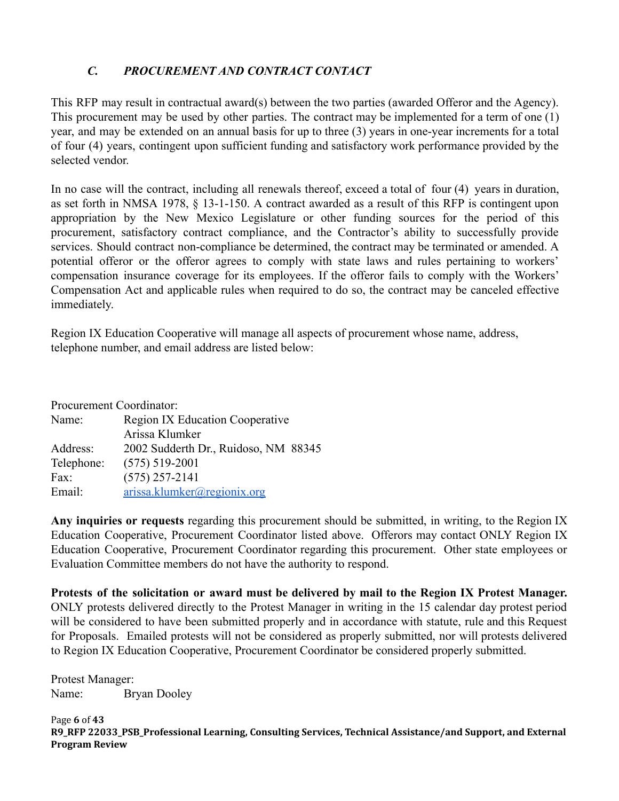# <span id="page-5-0"></span>*C. PROCUREMENT AND CONTRACT CONTACT*

This RFP may result in contractual award(s) between the two parties (awarded Offeror and the Agency). This procurement may be used by other parties. The contract may be implemented for a term of one (1) year, and may be extended on an annual basis for up to three (3) years in one-year increments for a total of four (4) years, contingent upon sufficient funding and satisfactory work performance provided by the selected vendor.

In no case will the contract, including all renewals thereof, exceed a total of four (4) years in duration, as set forth in NMSA 1978, § 13-1-150. A contract awarded as a result of this RFP is contingent upon appropriation by the New Mexico Legislature or other funding sources for the period of this procurement, satisfactory contract compliance, and the Contractor's ability to successfully provide services. Should contract non-compliance be determined, the contract may be terminated or amended. A potential offeror or the offeror agrees to comply with state laws and rules pertaining to workers' compensation insurance coverage for its employees. If the offeror fails to comply with the Workers' Compensation Act and applicable rules when required to do so, the contract may be canceled effective immediately.

Region IX Education Cooperative will manage all aspects of procurement whose name, address, telephone number, and email address are listed below:

| Procurement Coordinator: |                                        |  |
|--------------------------|----------------------------------------|--|
| Name:                    | <b>Region IX Education Cooperative</b> |  |
|                          | Arissa Klumker                         |  |
| Address:                 | 2002 Sudderth Dr., Ruidoso, NM 88345   |  |
| Telephone:               | $(575)$ 519-2001                       |  |
| Fax:                     | $(575)$ 257-2141                       |  |
| Email:                   | arissa.klumker@regionix.org            |  |

**Any inquiries or requests** regarding this procurement should be submitted, in writing, to the Region IX Education Cooperative, Procurement Coordinator listed above. Offerors may contact ONLY Region IX Education Cooperative, Procurement Coordinator regarding this procurement. Other state employees or Evaluation Committee members do not have the authority to respond.

**Protests of the solicitation or award must be delivered by mail to the Region IX Protest Manager.** ONLY protests delivered directly to the Protest Manager in writing in the 15 calendar day protest period will be considered to have been submitted properly and in accordance with statute, rule and this Request for Proposals. Emailed protests will not be considered as properly submitted, nor will protests delivered to Region IX Education Cooperative, Procurement Coordinator be considered properly submitted.

Protest Manager: Name: Bryan Dooley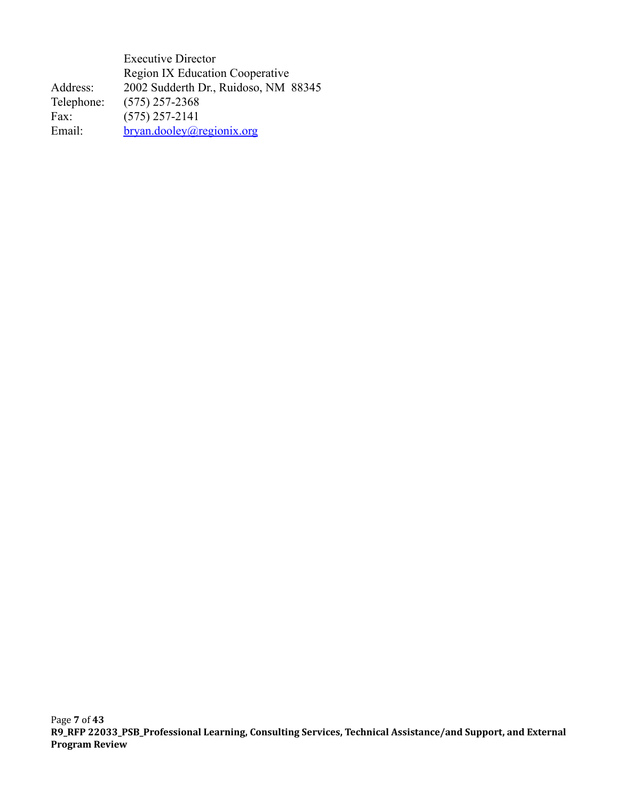Executive Director Region IX Education Cooperative Address: 2002 Sudderth Dr., Ruidoso, NM 88345 Telephone: (575) 257-2368 Fax: (575) 257-2141 Email: [bryan.dooley@regionix.org](mailto:gina.corliss@regionix.org)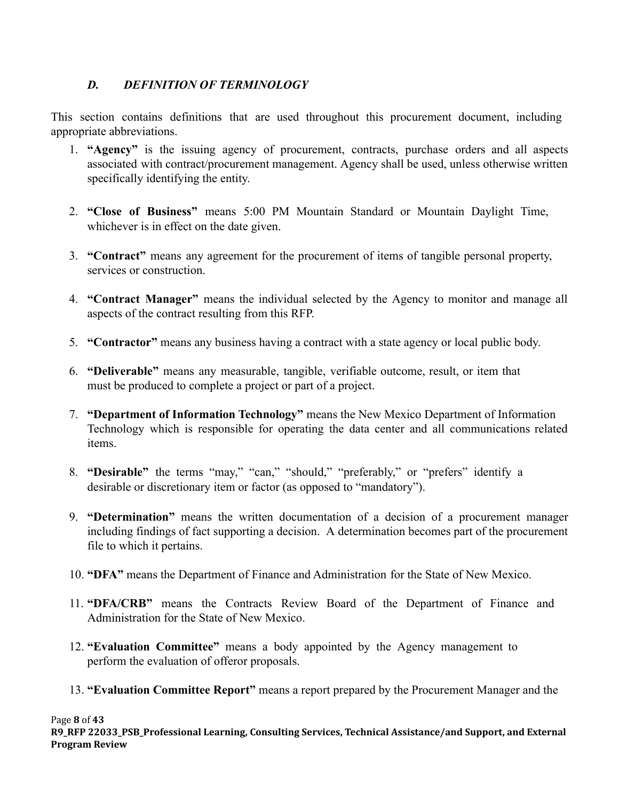# <span id="page-7-0"></span>*D. DEFINITION OF TERMINOLOGY*

This section contains definitions that are used throughout this procurement document, including appropriate abbreviations.

- 1. **"Agency"** is the issuing agency of procurement, contracts, purchase orders and all aspects associated with contract/procurement management. Agency shall be used, unless otherwise written specifically identifying the entity.
- 2. **"Close of Business"** means 5:00 PM Mountain Standard or Mountain Daylight Time, whichever is in effect on the date given.
- 3. **"Contract"** means any agreement for the procurement of items of tangible personal property, services or construction.
- 4. **"Contract Manager"** means the individual selected by the Agency to monitor and manage all aspects of the contract resulting from this RFP.
- 5. **"Contractor"** means any business having a contract with a state agency or local public body.
- 6. **"Deliverable"** means any measurable, tangible, verifiable outcome, result, or item that must be produced to complete a project or part of a project.
- 7. **"Department of Information Technology"** means the New Mexico Department of Information Technology which is responsible for operating the data center and all communications related items.
- 8. **"Desirable"** the terms "may," "can," "should," "preferably," or "prefers" identify a desirable or discretionary item or factor (as opposed to "mandatory").
- 9. **"Determination"** means the written documentation of a decision of a procurement manager including findings of fact supporting a decision. A determination becomes part of the procurement file to which it pertains.
- 10. **"DFA"** means the Department of Finance and Administration for the State of New Mexico.
- 11. **"DFA/CRB"** means the Contracts Review Board of the Department of Finance and Administration for the State of New Mexico.
- 12. **"Evaluation Committee"** means a body appointed by the Agency management to perform the evaluation of offeror proposals.
- 13. **"Evaluation Committee Report"** means a report prepared by the Procurement Manager and the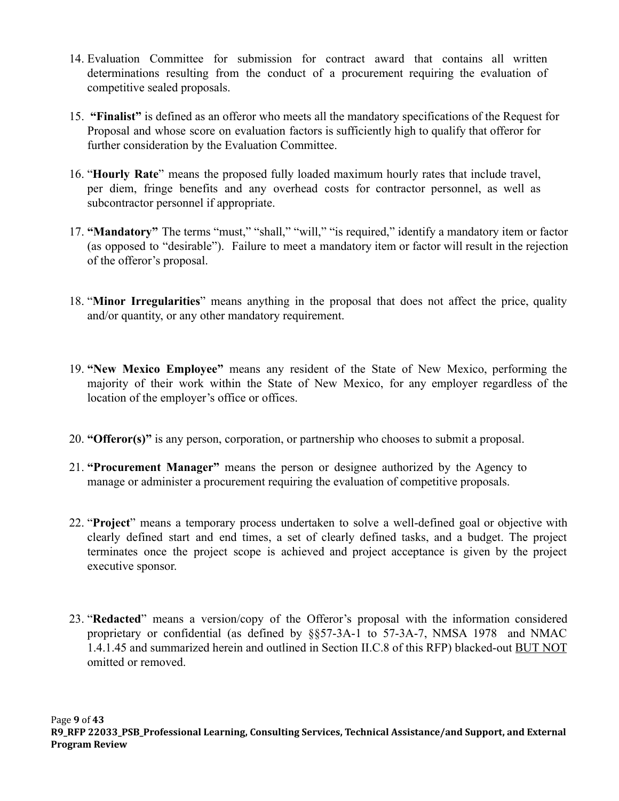- 14. Evaluation Committee for submission for contract award that contains all written determinations resulting from the conduct of a procurement requiring the evaluation of competitive sealed proposals.
- 15. **"Finalist"** is defined as an offeror who meets all the mandatory specifications of the Request for Proposal and whose score on evaluation factors is sufficiently high to qualify that offeror for further consideration by the Evaluation Committee.
- 16. "**Hourly Rate**" means the proposed fully loaded maximum hourly rates that include travel, per diem, fringe benefits and any overhead costs for contractor personnel, as well as subcontractor personnel if appropriate.
- 17. **"Mandatory"** The terms "must," "shall," "will," "is required," identify a mandatory item or factor (as opposed to "desirable"). Failure to meet a mandatory item or factor will result in the rejection of the offeror's proposal.
- 18. "**Minor Irregularities**" means anything in the proposal that does not affect the price, quality and/or quantity, or any other mandatory requirement.
- 19. **"New Mexico Employee"** means any resident of the State of New Mexico, performing the majority of their work within the State of New Mexico, for any employer regardless of the location of the employer's office or offices.
- 20. **"Offeror(s)"** is any person, corporation, or partnership who chooses to submit a proposal.
- 21. **"Procurement Manager"** means the person or designee authorized by the Agency to manage or administer a procurement requiring the evaluation of competitive proposals.
- 22. "**Project**" means a temporary process undertaken to solve a well-defined goal or objective with clearly defined start and end times, a set of clearly defined tasks, and a budget. The project terminates once the project scope is achieved and project acceptance is given by the project executive sponsor.
- 23. "**Redacted**" means a version/copy of the Offeror's proposal with the information considered proprietary or confidential (as defined by §§57-3A-1 to 57-3A-7, NMSA 1978 and NMAC 1.4.1.45 and summarized herein and outlined in Section II.C.8 of this RFP) blacked-out BUT NOT omitted or removed.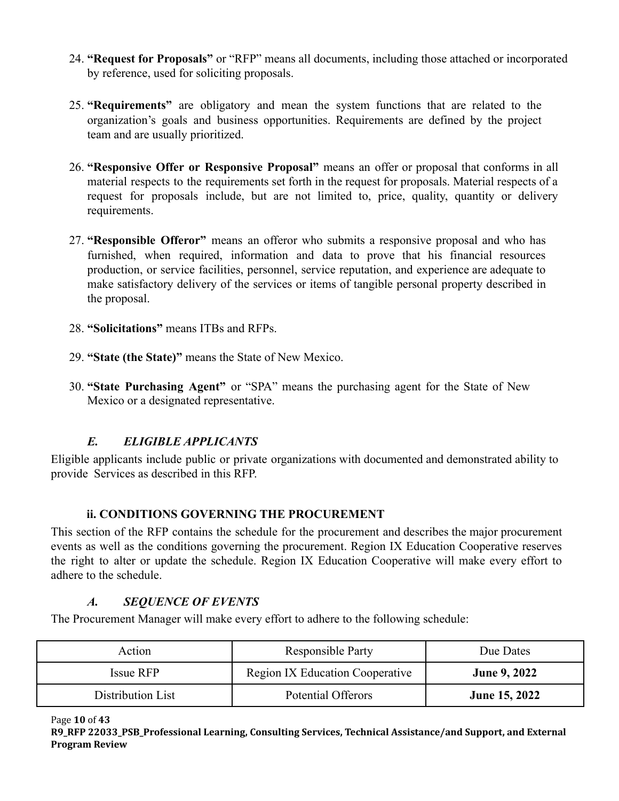- 24. **"Request for Proposals"** or "RFP" means all documents, including those attached or incorporated by reference, used for soliciting proposals.
- 25. **"Requirements"** are obligatory and mean the system functions that are related to the organization's goals and business opportunities. Requirements are defined by the project team and are usually prioritized.
- 26. **"Responsive Offer or Responsive Proposal"** means an offer or proposal that conforms in all material respects to the requirements set forth in the request for proposals. Material respects of a request for proposals include, but are not limited to, price, quality, quantity or delivery requirements.
- 27. **"Responsible Offeror"** means an offeror who submits a responsive proposal and who has furnished, when required, information and data to prove that his financial resources production, or service facilities, personnel, service reputation, and experience are adequate to make satisfactory delivery of the services or items of tangible personal property described in the proposal.
- 28. **"Solicitations"** means ITBs and RFPs.
- 29. **"State (the State)"** means the State of New Mexico.
- 30. **"State Purchasing Agent"** or "SPA" means the purchasing agent for the State of New Mexico or a designated representative.

# *E. ELIGIBLE APPLICANTS*

<span id="page-9-0"></span>Eligible applicants include public or private organizations with documented and demonstrated ability to provide Services as described in this RFP.

## **ii. CONDITIONS GOVERNING THE PROCUREMENT**

<span id="page-9-1"></span>This section of the RFP contains the schedule for the procurement and describes the major procurement events as well as the conditions governing the procurement. Region IX Education Cooperative reserves the right to alter or update the schedule. Region IX Education Cooperative will make every effort to adhere to the schedule.

## *A. SEQUENCE OF EVENTS*

<span id="page-9-2"></span>The Procurement Manager will make every effort to adhere to the following schedule:

| Action            | <b>Responsible Party</b>               | Due Dates            |
|-------------------|----------------------------------------|----------------------|
| Issue RFP         | <b>Region IX Education Cooperative</b> | <b>June 9, 2022</b>  |
| Distribution List | Potential Offerors                     | <b>June 15, 2022</b> |

Page **10** of **43**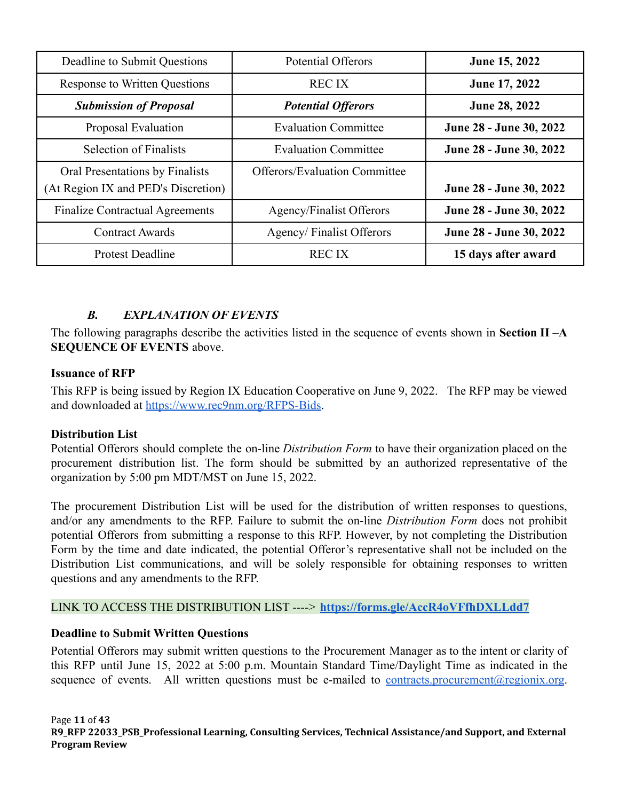| Deadline to Submit Questions                                           | <b>Potential Offerors</b>            | June 15, 2022           |
|------------------------------------------------------------------------|--------------------------------------|-------------------------|
| <b>Response to Written Questions</b>                                   | <b>RECIX</b>                         | June 17, 2022           |
| <b>Submission of Proposal</b>                                          | <b>Potential Offerors</b>            | <b>June 28, 2022</b>    |
| Proposal Evaluation                                                    | <b>Evaluation Committee</b>          | June 28 - June 30, 2022 |
| <b>Selection of Finalists</b>                                          | <b>Evaluation Committee</b>          | June 28 - June 30, 2022 |
| Oral Presentations by Finalists<br>(At Region IX and PED's Discretion) | <b>Offerors/Evaluation Committee</b> | June 28 - June 30, 2022 |
| <b>Finalize Contractual Agreements</b>                                 | <b>Agency/Finalist Offerors</b>      | June 28 - June 30, 2022 |
| <b>Contract Awards</b>                                                 | Agency/Finalist Offerors             | June 28 - June 30, 2022 |
| <b>Protest Deadline</b>                                                | <b>RECIX</b>                         | 15 days after award     |

# *B. EXPLANATION OF EVENTS*

<span id="page-10-0"></span>The following paragraphs describe the activities listed in the sequence of events shown in **Section II** –**A SEQUENCE OF EVENTS** above.

### **Issuance of RFP**

This RFP is being issued by Region IX Education Cooperative on June 9, 2022. The RFP may be viewed and downloaded at [https://www.rec9nm.org/RFPS-Bids.](https://www.rec9nm.org/RFPS-Bids)

### **Distribution List**

Potential Offerors should complete the on-line *Distribution Form* to have their organization placed on the procurement distribution list. The form should be submitted by an authorized representative of the organization by 5:00 pm MDT/MST on June 15, 2022.

The procurement Distribution List will be used for the distribution of written responses to questions, and/or any amendments to the RFP. Failure to submit the on-line *Distribution Form* does not prohibit potential Offerors from submitting a response to this RFP. However, by not completing the Distribution Form by the time and date indicated, the potential Offeror's representative shall not be included on the Distribution List communications, and will be solely responsible for obtaining responses to written questions and any amendments to the RFP.

### LINK TO ACCESS THE DISTRIBUTION LIST ----> **<https://forms.gle/AccR4oVFfhDXLLdd7>**

### **Deadline to Submit Written Questions**

Potential Offerors may submit written questions to the Procurement Manager as to the intent or clarity of this RFP until June 15, 2022 at 5:00 p.m. Mountain Standard Time/Daylight Time as indicated in the sequence of events. All written questions must be e-mailed to [contracts.procurement@regionix.org](mailto:contracts.procurement@regionix.org).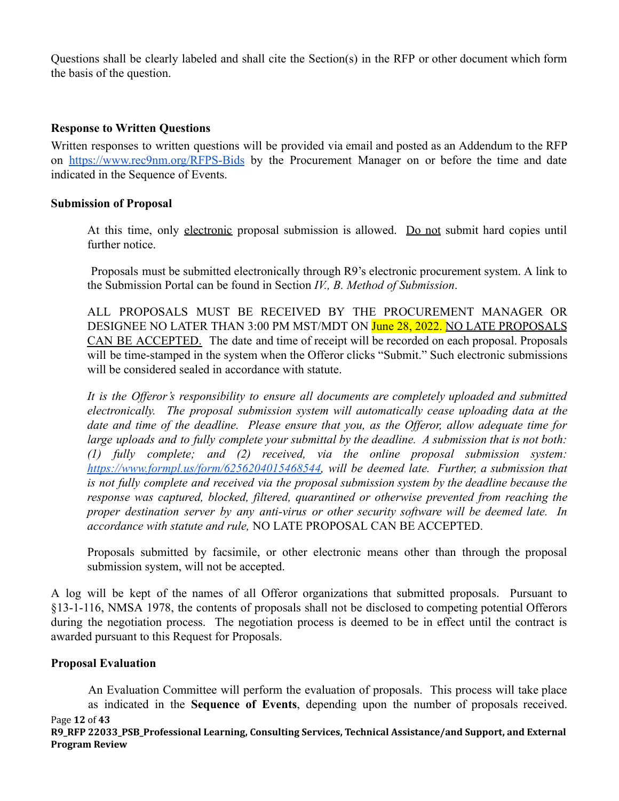Questions shall be clearly labeled and shall cite the Section(s) in the RFP or other document which form the basis of the question.

### **Response to Written Questions**

Written responses to written questions will be provided via email and posted as an Addendum to the RFP on <https://www.rec9nm.org/RFPS-Bids> by the Procurement Manager on or before the time and date indicated in the Sequence of Events.

### **Submission of Proposal**

At this time, only electronic proposal submission is allowed. Do not submit hard copies until further notice.

Proposals must be submitted electronically through R9's electronic procurement system. A link to the Submission Portal can be found in Section *IV., B. Method of Submission*.

ALL PROPOSALS MUST BE RECEIVED BY THE PROCUREMENT MANAGER OR DESIGNEE NO LATER THAN 3:00 PM MST/MDT ON June 28, 2022. NO LATE PROPOSALS CAN BE ACCEPTED. The date and time of receipt will be recorded on each proposal. Proposals will be time-stamped in the system when the Offeror clicks "Submit." Such electronic submissions will be considered sealed in accordance with statute.

*It is the Offeror's responsibility to ensure all documents are completely uploaded and submitted electronically. The proposal submission system will automatically cease uploading data at the date and time of the deadline. Please ensure that you, as the Offeror, allow adequate time for large uploads and to fully complete your submittal by the deadline. A submission that is not both: (1) fully complete; and (2) received, via the online proposal submission system: [https://www.formpl.us/form/6256204015468544,](https://www.formpl.us/form/6256204015468544) will be deemed late. Further, a submission that is not fully complete and received via the proposal submission system by the deadline because the response was captured, blocked, filtered, quarantined or otherwise prevented from reaching the proper destination server by any anti-virus or other security software will be deemed late. In accordance with statute and rule,* NO LATE PROPOSAL CAN BE ACCEPTED.

Proposals submitted by facsimile, or other electronic means other than through the proposal submission system, will not be accepted.

A log will be kept of the names of all Offeror organizations that submitted proposals. Pursuant to §13-1-116, NMSA 1978, the contents of proposals shall not be disclosed to competing potential Offerors during the negotiation process. The negotiation process is deemed to be in effect until the contract is awarded pursuant to this Request for Proposals.

### **Proposal Evaluation**

An Evaluation Committee will perform the evaluation of proposals. This process will take place as indicated in the **Sequence of Events**, depending upon the number of proposals received.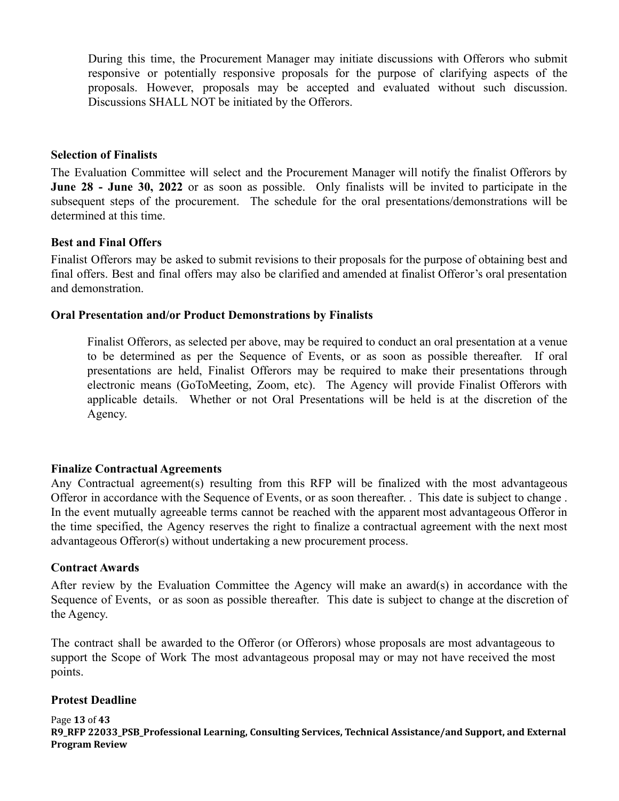During this time, the Procurement Manager may initiate discussions with Offerors who submit responsive or potentially responsive proposals for the purpose of clarifying aspects of the proposals. However, proposals may be accepted and evaluated without such discussion. Discussions SHALL NOT be initiated by the Offerors.

#### **Selection of Finalists**

The Evaluation Committee will select and the Procurement Manager will notify the finalist Offerors by **June 28 - June 30, 2022** or as soon as possible. Only finalists will be invited to participate in the subsequent steps of the procurement. The schedule for the oral presentations/demonstrations will be determined at this time.

#### **Best and Final Offers**

Finalist Offerors may be asked to submit revisions to their proposals for the purpose of obtaining best and final offers. Best and final offers may also be clarified and amended at finalist Offeror's oral presentation and demonstration.

#### **Oral Presentation and/or Product Demonstrations by Finalists**

Finalist Offerors, as selected per above, may be required to conduct an oral presentation at a venue to be determined as per the Sequence of Events, or as soon as possible thereafter. If oral presentations are held, Finalist Offerors may be required to make their presentations through electronic means (GoToMeeting, Zoom, etc). The Agency will provide Finalist Offerors with applicable details. Whether or not Oral Presentations will be held is at the discretion of the Agency.

#### **Finalize Contractual Agreements**

Any Contractual agreement(s) resulting from this RFP will be finalized with the most advantageous Offeror in accordance with the Sequence of Events, or as soon thereafter. . This date is subject to change . In the event mutually agreeable terms cannot be reached with the apparent most advantageous Offeror in the time specified, the Agency reserves the right to finalize a contractual agreement with the next most advantageous Offeror(s) without undertaking a new procurement process.

#### **Contract Awards**

After review by the Evaluation Committee the Agency will make an award(s) in accordance with the Sequence of Events, or as soon as possible thereafter. This date is subject to change at the discretion of the Agency.

The contract shall be awarded to the Offeror (or Offerors) whose proposals are most advantageous to support the Scope of Work The most advantageous proposal may or may not have received the most points.

#### **Protest Deadline**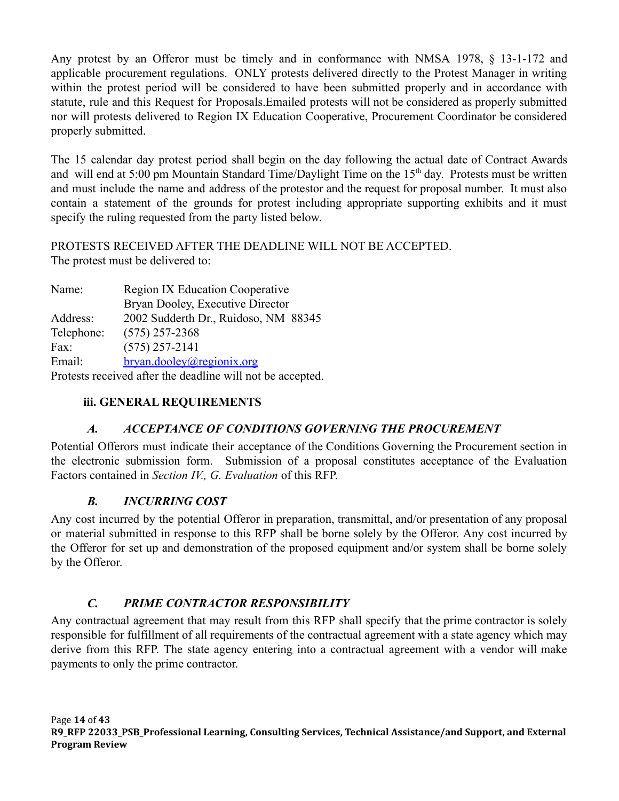Any protest by an Offeror must be timely and in conformance with NMSA 1978, § 13-1-172 and applicable procurement regulations. ONLY protests delivered directly to the Protest Manager in writing within the protest period will be considered to have been submitted properly and in accordance with statute, rule and this Request for Proposals.Emailed protests will not be considered as properly submitted nor will protests delivered to Region IX Education Cooperative, Procurement Coordinator be considered properly submitted.

The 15 calendar day protest period shall begin on the day following the actual date of Contract Awards and will end at 5:00 pm Mountain Standard Time/Daylight Time on the 15<sup>th</sup> day. Protests must be written and must include the name and address of the protestor and the request for proposal number. It must also contain a statement of the grounds for protest including appropriate supporting exhibits and it must specify the ruling requested from the party listed below.

PROTESTS RECEIVED AFTER THE DEADLINE WILL NOT BE ACCEPTED. The protest must be delivered to:

Name: Region IX Education Cooperative Bryan Dooley, Executive Director Address: 2002 Sudderth Dr., Ruidoso, NM 88345 Telephone: (575) 257-2368 Fax: (575) 257-2141 Email: [bryan.dooley@regionix.org](mailto:melvina.torres@regionix.org) Protests received after the deadline will not be accepted.

# <span id="page-13-0"></span>**iii. GENERAL REQUIREMENTS**

## *A. ACCEPTANCE OF CONDITIONS GOVERNING THE PROCUREMENT*

<span id="page-13-1"></span>Potential Offerors must indicate their acceptance of the Conditions Governing the Procurement section in the electronic submission form. Submission of a proposal constitutes acceptance of the Evaluation Factors contained in *Section IV., G. Evaluation* of this RFP.

## *B. INCURRING COST*

<span id="page-13-2"></span>Any cost incurred by the potential Offeror in preparation, transmittal, and/or presentation of any proposal or material submitted in response to this RFP shall be borne solely by the Offeror. Any cost incurred by the Offeror for set up and demonstration of the proposed equipment and/or system shall be borne solely by the Offeror.

### *C. PRIME CONTRACTOR RESPONSIBILITY*

<span id="page-13-3"></span>Any contractual agreement that may result from this RFP shall specify that the prime contractor is solely responsible for fulfillment of all requirements of the contractual agreement with a state agency which may derive from this RFP. The state agency entering into a contractual agreement with a vendor will make payments to only the prime contractor.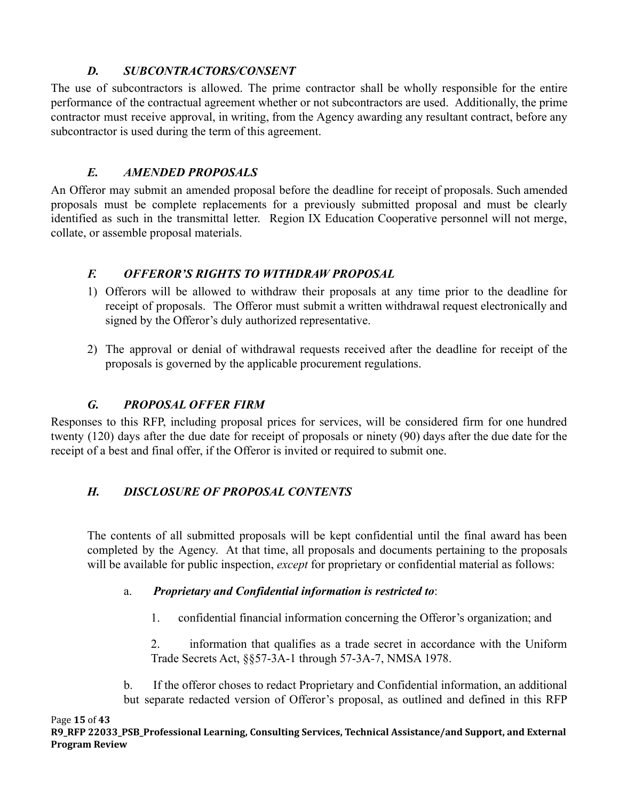# *D. SUBCONTRACTORS/CONSENT*

<span id="page-14-0"></span>The use of subcontractors is allowed. The prime contractor shall be wholly responsible for the entire performance of the contractual agreement whether or not subcontractors are used. Additionally, the prime contractor must receive approval, in writing, from the Agency awarding any resultant contract, before any subcontractor is used during the term of this agreement.

# *E. AMENDED PROPOSALS*

<span id="page-14-1"></span>An Offeror may submit an amended proposal before the deadline for receipt of proposals. Such amended proposals must be complete replacements for a previously submitted proposal and must be clearly identified as such in the transmittal letter. Region IX Education Cooperative personnel will not merge, collate, or assemble proposal materials.

# <span id="page-14-2"></span>*F. OFFEROR'S RIGHTS TO WITHDRAW PROPOSAL*

- 1) Offerors will be allowed to withdraw their proposals at any time prior to the deadline for receipt of proposals. The Offeror must submit a written withdrawal request electronically and signed by the Offeror's duly authorized representative.
- 2) The approval or denial of withdrawal requests received after the deadline for receipt of the proposals is governed by the applicable procurement regulations.

# *G. PROPOSAL OFFER FIRM*

<span id="page-14-3"></span>Responses to this RFP, including proposal prices for services, will be considered firm for one hundred twenty (120) days after the due date for receipt of proposals or ninety (90) days after the due date for the receipt of a best and final offer, if the Offeror is invited or required to submit one.

# <span id="page-14-4"></span>*H. DISCLOSURE OF PROPOSAL CONTENTS*

The contents of all submitted proposals will be kept confidential until the final award has been completed by the Agency. At that time, all proposals and documents pertaining to the proposals will be available for public inspection, *except* for proprietary or confidential material as follows:

# a. *Proprietary and Confidential information is restricted to*:

1. confidential financial information concerning the Offeror's organization; and

2. information that qualifies as a trade secret in accordance with the Uniform Trade Secrets Act, §§57-3A-1 through 57-3A-7, NMSA 1978.

b. If the offeror choses to redact Proprietary and Confidential information, an additional but separate redacted version of Offeror's proposal, as outlined and defined in this RFP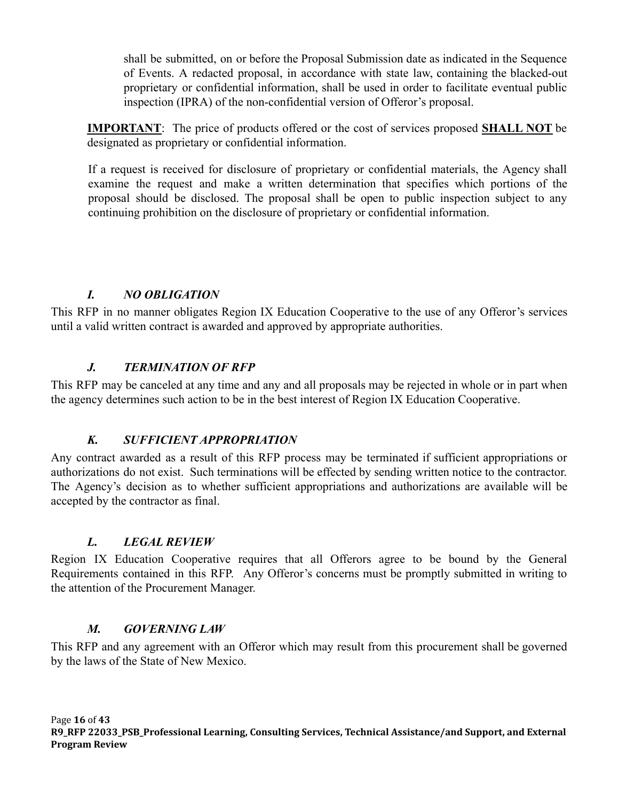shall be submitted, on or before the Proposal Submission date as indicated in the Sequence of Events. A redacted proposal, in accordance with state law, containing the blacked-out proprietary or confidential information, shall be used in order to facilitate eventual public inspection (IPRA) of the non-confidential version of Offeror's proposal.

**IMPORTANT**: The price of products offered or the cost of services proposed **SHALL NOT** be designated as proprietary or confidential information.

If a request is received for disclosure of proprietary or confidential materials, the Agency shall examine the request and make a written determination that specifies which portions of the proposal should be disclosed. The proposal shall be open to public inspection subject to any continuing prohibition on the disclosure of proprietary or confidential information.

## *I. NO OBLIGATION*

<span id="page-15-0"></span>This RFP in no manner obligates Region IX Education Cooperative to the use of any Offeror's services until a valid written contract is awarded and approved by appropriate authorities.

## *J. TERMINATION OF RFP*

<span id="page-15-1"></span>This RFP may be canceled at any time and any and all proposals may be rejected in whole or in part when the agency determines such action to be in the best interest of Region IX Education Cooperative.

### *K. SUFFICIENT APPROPRIATION*

<span id="page-15-2"></span>Any contract awarded as a result of this RFP process may be terminated if sufficient appropriations or authorizations do not exist. Such terminations will be effected by sending written notice to the contractor. The Agency's decision as to whether sufficient appropriations and authorizations are available will be accepted by the contractor as final.

### *L. LEGAL REVIEW*

<span id="page-15-3"></span>Region IX Education Cooperative requires that all Offerors agree to be bound by the General Requirements contained in this RFP. Any Offeror's concerns must be promptly submitted in writing to the attention of the Procurement Manager.

### *M. GOVERNING LAW*

<span id="page-15-4"></span>This RFP and any agreement with an Offeror which may result from this procurement shall be governed by the laws of the State of New Mexico.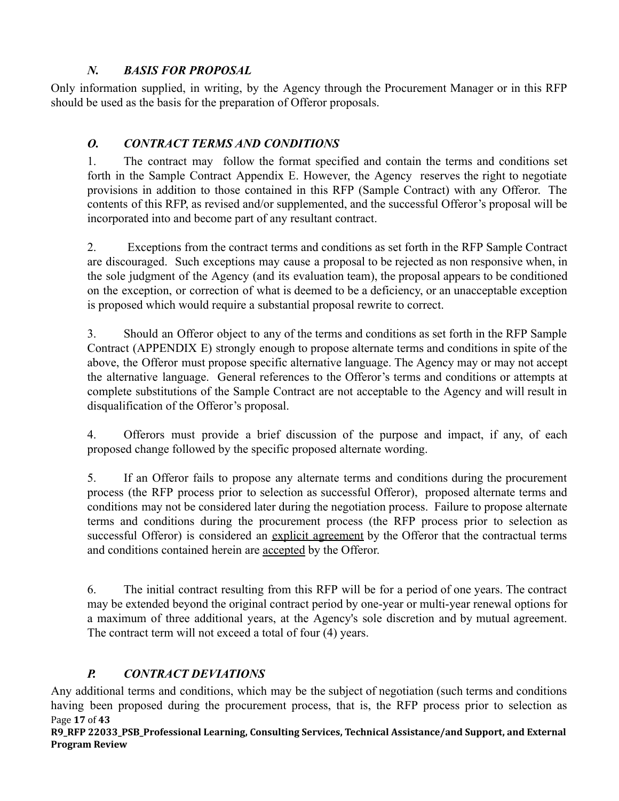# *N. BASIS FOR PROPOSAL*

<span id="page-16-0"></span>Only information supplied, in writing, by the Agency through the Procurement Manager or in this RFP should be used as the basis for the preparation of Offeror proposals.

# <span id="page-16-1"></span>*O. CONTRACT TERMS AND CONDITIONS*

1. The contract may follow the format specified and contain the terms and conditions set forth in the Sample Contract Appendix E. However, the Agency reserves the right to negotiate provisions in addition to those contained in this RFP (Sample Contract) with any Offeror. The contents of this RFP, as revised and/or supplemented, and the successful Offeror's proposal will be incorporated into and become part of any resultant contract.

2. Exceptions from the contract terms and conditions as set forth in the RFP Sample Contract are discouraged. Such exceptions may cause a proposal to be rejected as non responsive when, in the sole judgment of the Agency (and its evaluation team), the proposal appears to be conditioned on the exception, or correction of what is deemed to be a deficiency, or an unacceptable exception is proposed which would require a substantial proposal rewrite to correct.

3. Should an Offeror object to any of the terms and conditions as set forth in the RFP Sample Contract (APPENDIX E) strongly enough to propose alternate terms and conditions in spite of the above, the Offeror must propose specific alternative language. The Agency may or may not accept the alternative language. General references to the Offeror's terms and conditions or attempts at complete substitutions of the Sample Contract are not acceptable to the Agency and will result in disqualification of the Offeror's proposal.

4. Offerors must provide a brief discussion of the purpose and impact, if any, of each proposed change followed by the specific proposed alternate wording.

5. If an Offeror fails to propose any alternate terms and conditions during the procurement process (the RFP process prior to selection as successful Offeror), proposed alternate terms and conditions may not be considered later during the negotiation process. Failure to propose alternate terms and conditions during the procurement process (the RFP process prior to selection as successful Offeror) is considered an explicit agreement by the Offeror that the contractual terms and conditions contained herein are accepted by the Offeror.

6. The initial contract resulting from this RFP will be for a period of one years. The contract may be extended beyond the original contract period by one-year or multi-year renewal options for a maximum of three additional years, at the Agency's sole discretion and by mutual agreement. The contract term will not exceed a total of four (4) years.

# *P. CONTRACT DEVIATIONS*

<span id="page-16-2"></span>Any additional terms and conditions, which may be the subject of negotiation (such terms and conditions having been proposed during the procurement process, that is, the RFP process prior to selection as Page **17** of **43**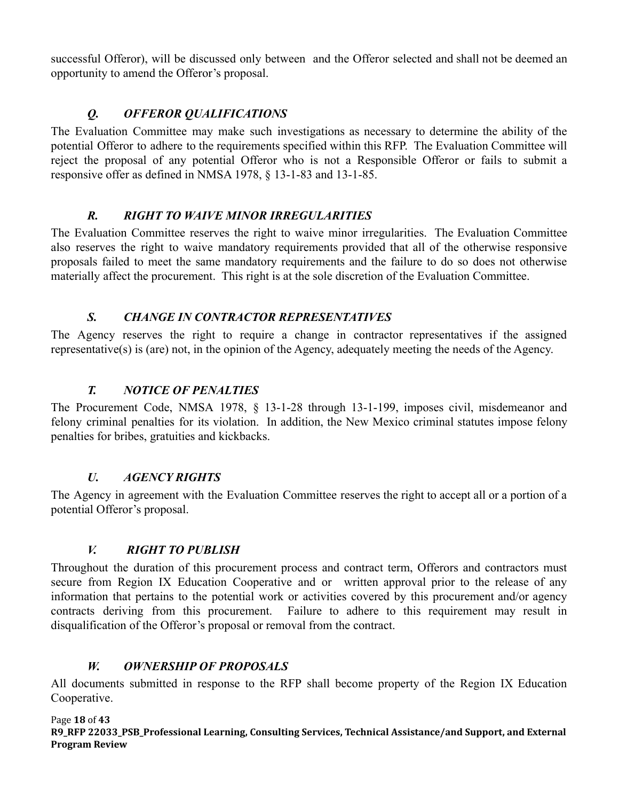successful Offeror), will be discussed only between and the Offeror selected and shall not be deemed an opportunity to amend the Offeror's proposal.

# *Q. OFFEROR QUALIFICATIONS*

<span id="page-17-0"></span>The Evaluation Committee may make such investigations as necessary to determine the ability of the potential Offeror to adhere to the requirements specified within this RFP. The Evaluation Committee will reject the proposal of any potential Offeror who is not a Responsible Offeror or fails to submit a responsive offer as defined in NMSA 1978, § 13-1-83 and 13-1-85.

## *R. RIGHT TO WAIVE MINOR IRREGULARITIES*

<span id="page-17-1"></span>The Evaluation Committee reserves the right to waive minor irregularities. The Evaluation Committee also reserves the right to waive mandatory requirements provided that all of the otherwise responsive proposals failed to meet the same mandatory requirements and the failure to do so does not otherwise materially affect the procurement. This right is at the sole discretion of the Evaluation Committee.

# *S. CHANGE IN CONTRACTOR REPRESENTATIVES*

<span id="page-17-2"></span>The Agency reserves the right to require a change in contractor representatives if the assigned representative(s) is (are) not, in the opinion of the Agency, adequately meeting the needs of the Agency.

# *T. NOTICE OF PENALTIES*

<span id="page-17-3"></span>The Procurement Code, NMSA 1978, § 13-1-28 through 13-1-199, imposes civil, misdemeanor and felony criminal penalties for its violation. In addition, the New Mexico criminal statutes impose felony penalties for bribes, gratuities and kickbacks.

## *U. AGENCY RIGHTS*

<span id="page-17-4"></span>The Agency in agreement with the Evaluation Committee reserves the right to accept all or a portion of a potential Offeror's proposal.

## *V. RIGHT TO PUBLISH*

<span id="page-17-5"></span>Throughout the duration of this procurement process and contract term, Offerors and contractors must secure from Region IX Education Cooperative and or written approval prior to the release of any information that pertains to the potential work or activities covered by this procurement and/or agency contracts deriving from this procurement. Failure to adhere to this requirement may result in disqualification of the Offeror's proposal or removal from the contract.

## *W. OWNERSHIP OF PROPOSALS*

<span id="page-17-6"></span>All documents submitted in response to the RFP shall become property of the Region IX Education Cooperative.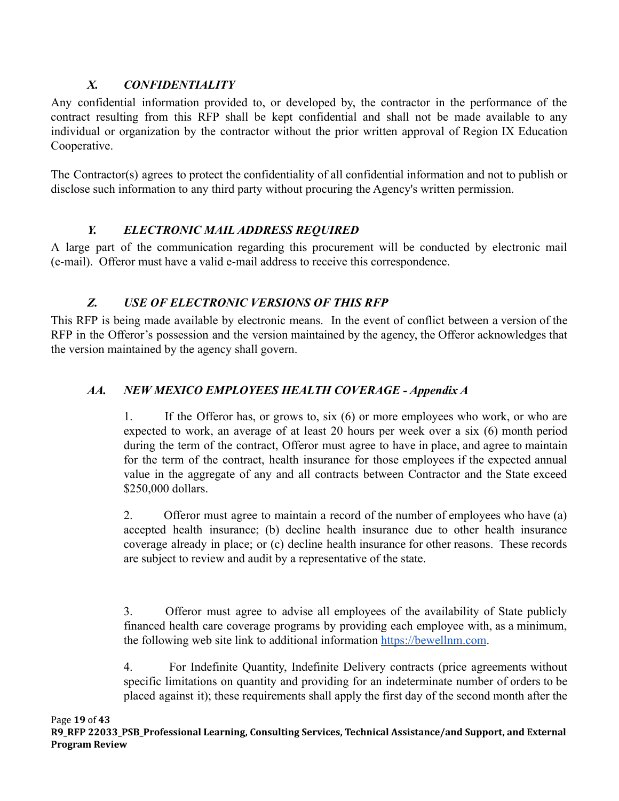# *X. CONFIDENTIALITY*

<span id="page-18-0"></span>Any confidential information provided to, or developed by, the contractor in the performance of the contract resulting from this RFP shall be kept confidential and shall not be made available to any individual or organization by the contractor without the prior written approval of Region IX Education Cooperative.

The Contractor(s) agrees to protect the confidentiality of all confidential information and not to publish or disclose such information to any third party without procuring the Agency's written permission.

# *Y. ELECTRONIC MAIL ADDRESS REQUIRED*

<span id="page-18-1"></span>A large part of the communication regarding this procurement will be conducted by electronic mail (e-mail). Offeror must have a valid e-mail address to receive this correspondence.

# *Z. USE OF ELECTRONIC VERSIONS OF THIS RFP*

<span id="page-18-2"></span>This RFP is being made available by electronic means. In the event of conflict between a version of the RFP in the Offeror's possession and the version maintained by the agency, the Offeror acknowledges that the version maintained by the agency shall govern.

# <span id="page-18-3"></span>*AA. NEW MEXICO EMPLOYEES HEALTH COVERAGE - Appendix A*

1. If the Offeror has, or grows to, six (6) or more employees who work, or who are expected to work, an average of at least 20 hours per week over a six (6) month period during the term of the contract, Offeror must agree to have in place, and agree to maintain for the term of the contract, health insurance for those employees if the expected annual value in the aggregate of any and all contracts between Contractor and the State exceed \$250,000 dollars.

2. Offeror must agree to maintain a record of the number of employees who have (a) accepted health insurance; (b) decline health insurance due to other health insurance coverage already in place; or (c) decline health insurance for other reasons. These records are subject to review and audit by a representative of the state.

3. Offeror must agree to advise all employees of the availability of State publicly financed health care coverage programs by providing each employee with, as a minimum, the following web site link to additional information [https://bewellnm.com](https://bewellnm.com/).

4. For Indefinite Quantity, Indefinite Delivery contracts (price agreements without specific limitations on quantity and providing for an indeterminate number of orders to be placed against it); these requirements shall apply the first day of the second month after the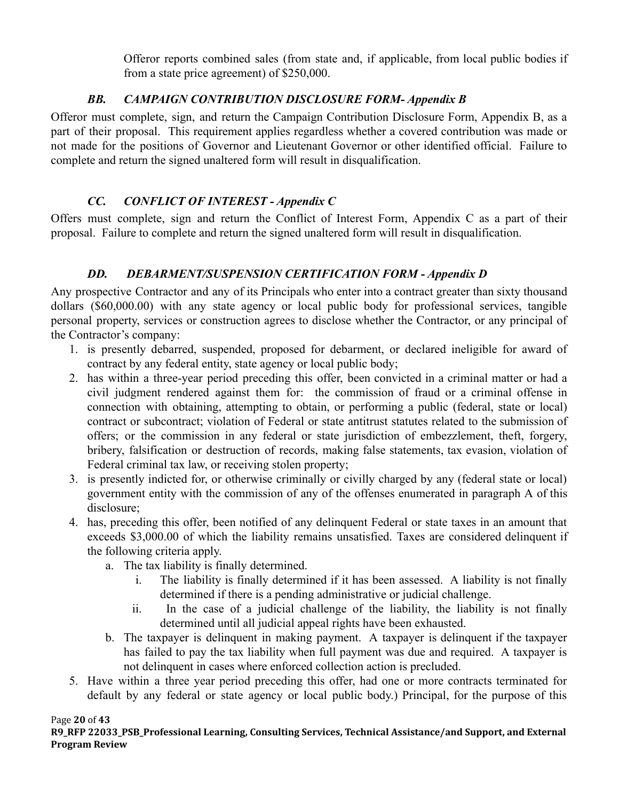Offeror reports combined sales (from state and, if applicable, from local public bodies if from a state price agreement) of \$250,000.

# *BB. CAMPAIGN CONTRIBUTION DISCLOSURE FORM- Appendix B*

<span id="page-19-0"></span>Offeror must complete, sign, and return the Campaign Contribution Disclosure Form, Appendix B, as a part of their proposal. This requirement applies regardless whether a covered contribution was made or not made for the positions of Governor and Lieutenant Governor or other identified official. Failure to complete and return the signed unaltered form will result in disqualification.

# *CC. CONFLICT OF INTEREST - Appendix C*

<span id="page-19-1"></span>Offers must complete, sign and return the Conflict of Interest Form, Appendix C as a part of their proposal. Failure to complete and return the signed unaltered form will result in disqualification.

# *DD. DEBARMENT/SUSPENSION CERTIFICATION FORM - Appendix D*

<span id="page-19-2"></span>Any prospective Contractor and any of its Principals who enter into a contract greater than sixty thousand dollars (\$60,000.00) with any state agency or local public body for professional services, tangible personal property, services or construction agrees to disclose whether the Contractor, or any principal of the Contractor's company:

- 1. is presently debarred, suspended, proposed for debarment, or declared ineligible for award of contract by any federal entity, state agency or local public body;
- 2. has within a three-year period preceding this offer, been convicted in a criminal matter or had a civil judgment rendered against them for: the commission of fraud or a criminal offense in connection with obtaining, attempting to obtain, or performing a public (federal, state or local) contract or subcontract; violation of Federal or state antitrust statutes related to the submission of offers; or the commission in any federal or state jurisdiction of embezzlement, theft, forgery, bribery, falsification or destruction of records, making false statements, tax evasion, violation of Federal criminal tax law, or receiving stolen property;
- 3. is presently indicted for, or otherwise criminally or civilly charged by any (federal state or local) government entity with the commission of any of the offenses enumerated in paragraph A of this disclosure;
- 4. has, preceding this offer, been notified of any delinquent Federal or state taxes in an amount that exceeds \$3,000.00 of which the liability remains unsatisfied. Taxes are considered delinquent if the following criteria apply.
	- a. The tax liability is finally determined.
		- i. The liability is finally determined if it has been assessed. A liability is not finally determined if there is a pending administrative or judicial challenge.
		- ii. In the case of a judicial challenge of the liability, the liability is not finally determined until all judicial appeal rights have been exhausted.
	- b. The taxpayer is delinquent in making payment. A taxpayer is delinquent if the taxpayer has failed to pay the tax liability when full payment was due and required. A taxpayer is not delinquent in cases where enforced collection action is precluded.
- 5. Have within a three year period preceding this offer, had one or more contracts terminated for default by any federal or state agency or local public body.) Principal, for the purpose of this

Page **20** of **43**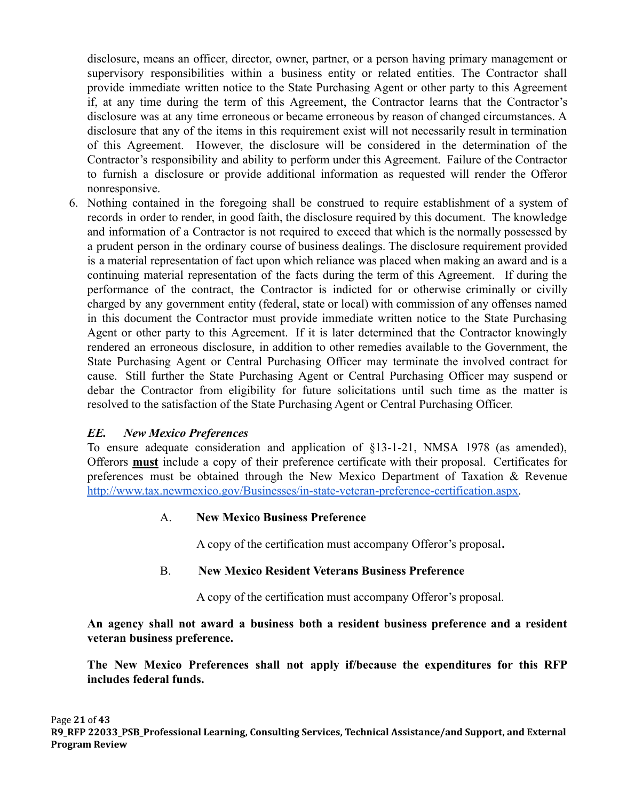disclosure, means an officer, director, owner, partner, or a person having primary management or supervisory responsibilities within a business entity or related entities. The Contractor shall provide immediate written notice to the State Purchasing Agent or other party to this Agreement if, at any time during the term of this Agreement, the Contractor learns that the Contractor's disclosure was at any time erroneous or became erroneous by reason of changed circumstances. A disclosure that any of the items in this requirement exist will not necessarily result in termination of this Agreement. However, the disclosure will be considered in the determination of the Contractor's responsibility and ability to perform under this Agreement. Failure of the Contractor to furnish a disclosure or provide additional information as requested will render the Offeror nonresponsive.

6. Nothing contained in the foregoing shall be construed to require establishment of a system of records in order to render, in good faith, the disclosure required by this document. The knowledge and information of a Contractor is not required to exceed that which is the normally possessed by a prudent person in the ordinary course of business dealings. The disclosure requirement provided is a material representation of fact upon which reliance was placed when making an award and is a continuing material representation of the facts during the term of this Agreement. If during the performance of the contract, the Contractor is indicted for or otherwise criminally or civilly charged by any government entity (federal, state or local) with commission of any offenses named in this document the Contractor must provide immediate written notice to the State Purchasing Agent or other party to this Agreement. If it is later determined that the Contractor knowingly rendered an erroneous disclosure, in addition to other remedies available to the Government, the State Purchasing Agent or Central Purchasing Officer may terminate the involved contract for cause. Still further the State Purchasing Agent or Central Purchasing Officer may suspend or debar the Contractor from eligibility for future solicitations until such time as the matter is resolved to the satisfaction of the State Purchasing Agent or Central Purchasing Officer.

## *EE. New Mexico Preferences*

To ensure adequate consideration and application of §13-1-21, NMSA 1978 (as amended), Offerors **must** include a copy of their preference certificate with their proposal. Certificates for preferences must be obtained through the New Mexico Department of Taxation & Revenu[e](http://www.tax.newmexico.gov/Businesses/in-state-veteran-preference-certification.aspx) [http://www.tax.newmexico.gov/Businesses/in-state-veteran-preference-certification.aspx.](http://www.tax.newmexico.gov/Businesses/in-state-veteran-preference-certification.aspx)

### A. **New Mexico Business Preference**

A copy of the certification must accompany Offeror's proposal**.**

### B. **New Mexico Resident Veterans Business Preference**

A copy of the certification must accompany Offeror's proposal.

**An agency shall not award a business both a resident business preference and a resident veteran business preference.**

**The New Mexico Preferences shall not apply if/because the expenditures for this RFP includes federal funds.**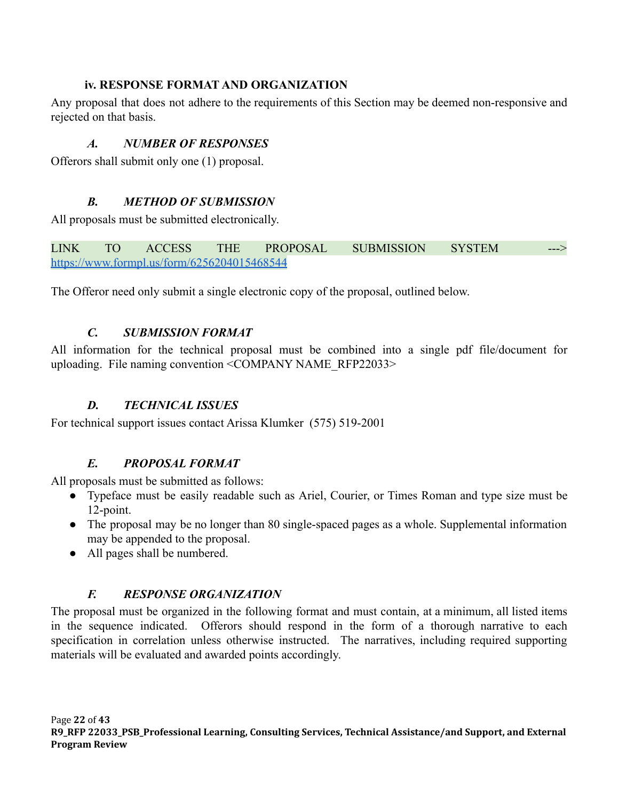# **iv. RESPONSE FORMAT AND ORGANIZATION**

<span id="page-21-1"></span><span id="page-21-0"></span>Any proposal that does not adhere to the requirements of this Section may be deemed non-responsive and rejected on that basis.

# *A. NUMBER OF RESPONSES*

<span id="page-21-2"></span>Offerors shall submit only one (1) proposal.

# *B. METHOD OF SUBMISSION*

All proposals must be submitted electronically.

LINK TO ACCESS THE PROPOSAL SUBMISSION SYSTEM ---> <https://www.formpl.us/form/6256204015468544>

<span id="page-21-3"></span>The Offeror need only submit a single electronic copy of the proposal, outlined below.

# *C. SUBMISSION FORMAT*

All information for the technical proposal must be combined into a single pdf file/document for uploading. File naming convention <COMPANY NAME\_RFP22033>

# *D. TECHNICAL ISSUES*

<span id="page-21-5"></span><span id="page-21-4"></span>For technical support issues contact Arissa Klumker (575) 519-2001

# *E. PROPOSAL FORMAT*

All proposals must be submitted as follows:

- Typeface must be easily readable such as Ariel, Courier, or Times Roman and type size must be 12-point.
- The proposal may be no longer than 80 single-spaced pages as a whole. Supplemental information may be appended to the proposal.
- All pages shall be numbered.

# *F. RESPONSE ORGANIZATION*

<span id="page-21-6"></span>The proposal must be organized in the following format and must contain, at a minimum, all listed items in the sequence indicated. Offerors should respond in the form of a thorough narrative to each specification in correlation unless otherwise instructed. The narratives, including required supporting materials will be evaluated and awarded points accordingly.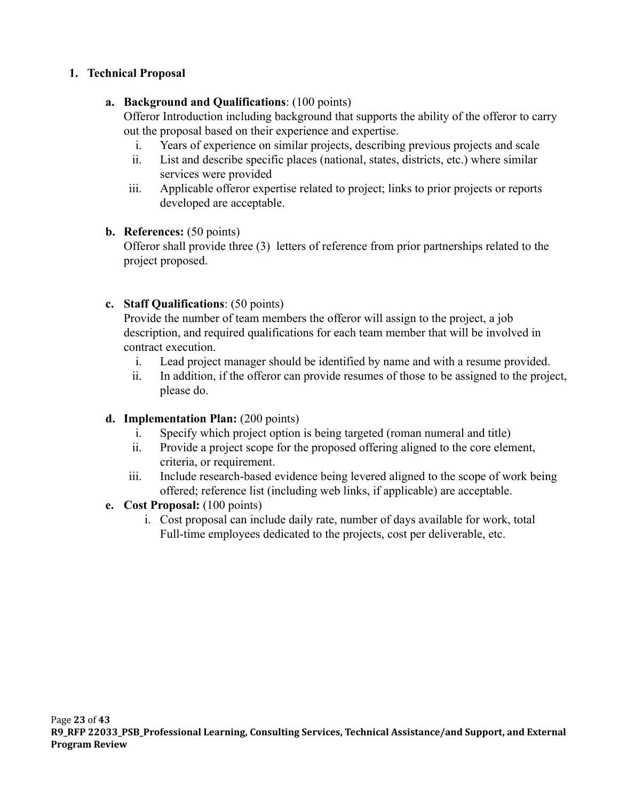## **1. Technical Proposal**

## **a. Background and Qualifications**: (100 points)

Offeror Introduction including background that supports the ability of the offeror to carry out the proposal based on their experience and expertise.

- i. Years of experience on similar projects, describing previous projects and scale
- ii. List and describe specific places (national, states, districts, etc.) where similar services were provided
- iii. Applicable offeror expertise related to project; links to prior projects or reports developed are acceptable.

## **b. References:** (50 points)

Offeror shall provide three (3) letters of reference from prior partnerships related to the project proposed.

## **c. Staff Qualifications**: (50 points)

Provide the number of team members the offeror will assign to the project, a job description, and required qualifications for each team member that will be involved in contract execution.

- i. Lead project manager should be identified by name and with a resume provided.
- ii. In addition, if the offeror can provide resumes of those to be assigned to the project, please do.

## **d. Implementation Plan:** (200 points)

- i. Specify which project option is being targeted (roman numeral and title)
- ii. Provide a project scope for the proposed offering aligned to the core element, criteria, or requirement.
- iii. Include research-based evidence being levered aligned to the scope of work being offered; reference list (including web links, if applicable) are acceptable.

## **e. Cost Proposal:** (100 points)

i. Cost proposal can include daily rate, number of days available for work, total Full-time employees dedicated to the projects, cost per deliverable, etc.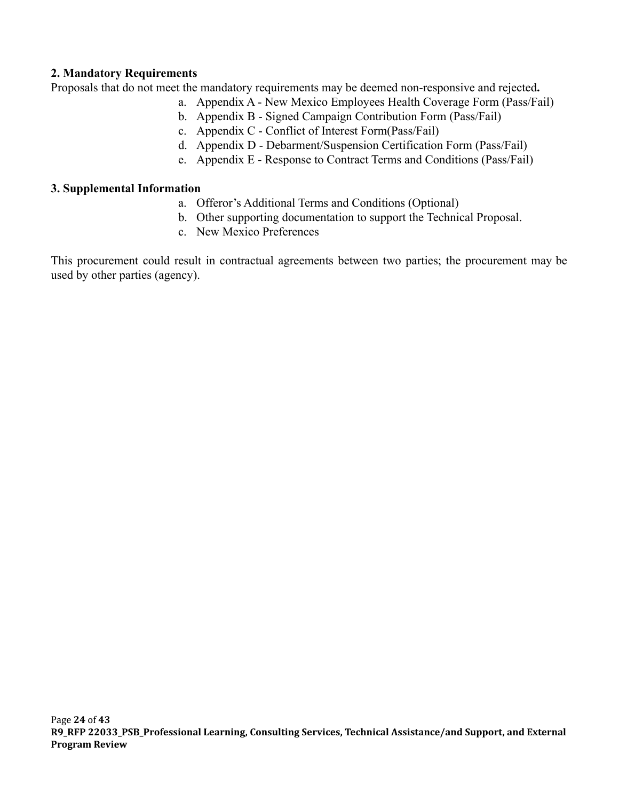### **2. Mandatory Requirements**

Proposals that do not meet the mandatory requirements may be deemed non-responsive and rejected**.**

- a. Appendix A New Mexico Employees Health Coverage Form (Pass/Fail)
- b. Appendix B Signed Campaign Contribution Form (Pass/Fail)
- c. Appendix C Conflict of Interest Form(Pass/Fail)
- d. Appendix D Debarment/Suspension Certification Form (Pass/Fail)
- e. Appendix E Response to Contract Terms and Conditions (Pass/Fail)

### **3. Supplemental Information**

- a. Offeror's Additional Terms and Conditions (Optional)
- b. Other supporting documentation to support the Technical Proposal.
- c. New Mexico Preferences

This procurement could result in contractual agreements between two parties; the procurement may be used by other parties (agency).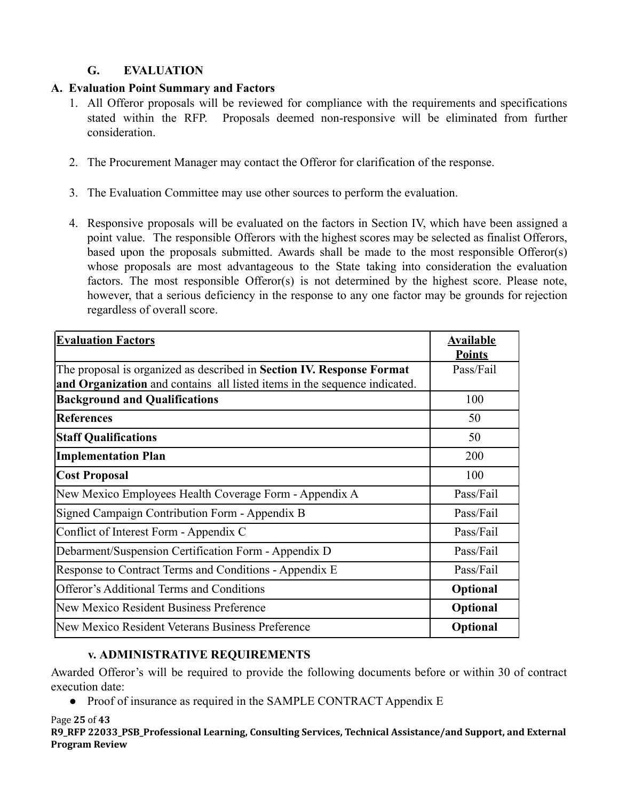# **G. EVALUATION**

# <span id="page-24-0"></span>**A. Evaluation Point Summary and Factors**

- 1. All Offeror proposals will be reviewed for compliance with the requirements and specifications stated within the RFP. Proposals deemed non-responsive will be eliminated from further consideration.
- 2. The Procurement Manager may contact the Offeror for clarification of the response.
- 3. The Evaluation Committee may use other sources to perform the evaluation.
- 4. Responsive proposals will be evaluated on the factors in Section IV, which have been assigned a point value. The responsible Offerors with the highest scores may be selected as finalist Offerors, based upon the proposals submitted. Awards shall be made to the most responsible Offeror(s) whose proposals are most advantageous to the State taking into consideration the evaluation factors. The most responsible Offeror(s) is not determined by the highest score. Please note, however, that a serious deficiency in the response to any one factor may be grounds for rejection regardless of overall score.

| <b>Evaluation Factors</b>                                                 | <b>Available</b><br><b>Points</b> |
|---------------------------------------------------------------------------|-----------------------------------|
| The proposal is organized as described in Section IV. Response Format     | Pass/Fail                         |
| and Organization and contains all listed items in the sequence indicated. |                                   |
| <b>Background and Qualifications</b>                                      | 100                               |
| References                                                                | 50                                |
| <b>Staff Qualifications</b>                                               | 50                                |
| <b>Implementation Plan</b>                                                | 200                               |
| <b>Cost Proposal</b>                                                      | 100                               |
| New Mexico Employees Health Coverage Form - Appendix A                    | Pass/Fail                         |
| Signed Campaign Contribution Form - Appendix B                            | Pass/Fail                         |
| Conflict of Interest Form - Appendix C                                    | Pass/Fail                         |
| Debarment/Suspension Certification Form - Appendix D                      | Pass/Fail                         |
| Response to Contract Terms and Conditions - Appendix E                    | Pass/Fail                         |
| <b>Offeror's Additional Terms and Conditions</b>                          | Optional                          |
| New Mexico Resident Business Preference                                   | Optional                          |
| New Mexico Resident Veterans Business Preference                          | Optional                          |

## **v. ADMINISTRATIVE REQUIREMENTS**

<span id="page-24-1"></span>Awarded Offeror's will be required to provide the following documents before or within 30 of contract execution date:

● Proof of insurance as required in the SAMPLE CONTRACT Appendix E

Page **25** of **43**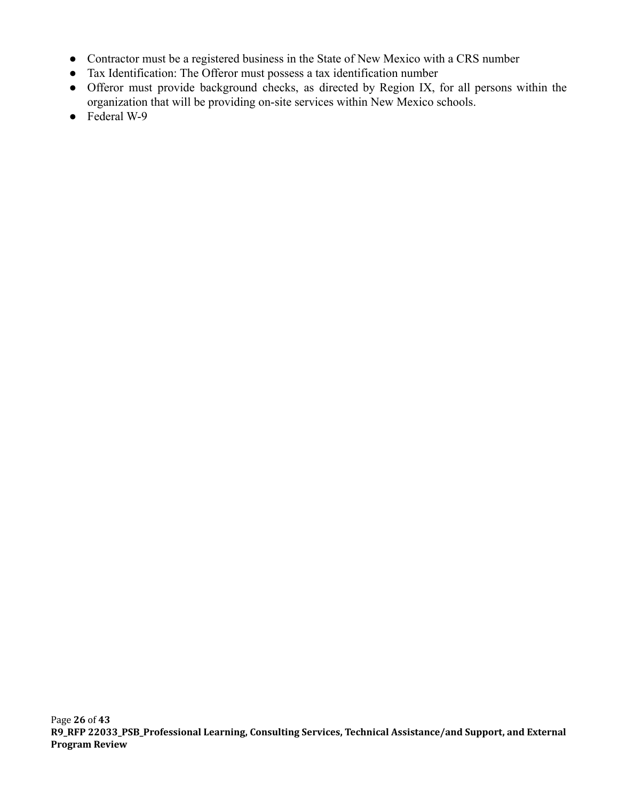- Contractor must be a registered business in the State of New Mexico with a CRS number
- Tax Identification: The Offeror must possess a tax identification number
- Offeror must provide background checks, as directed by Region IX, for all persons within the organization that will be providing on-site services within New Mexico schools.
- Federal W-9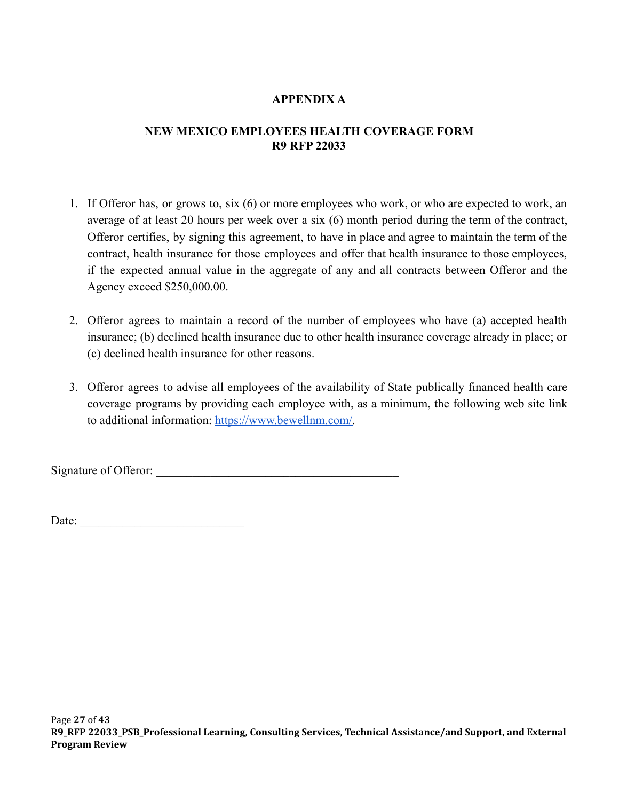## **APPENDIX A**

## <span id="page-26-0"></span>**NEW MEXICO EMPLOYEES HEALTH COVERAGE FORM R9 RFP 22033**

- 1. If Offeror has, or grows to, six (6) or more employees who work, or who are expected to work, an average of at least 20 hours per week over a six (6) month period during the term of the contract, Offeror certifies, by signing this agreement, to have in place and agree to maintain the term of the contract, health insurance for those employees and offer that health insurance to those employees, if the expected annual value in the aggregate of any and all contracts between Offeror and the Agency exceed \$250,000.00.
- 2. Offeror agrees to maintain a record of the number of employees who have (a) accepted health insurance; (b) declined health insurance due to other health insurance coverage already in place; or (c) declined health insurance for other reasons.
- 3. Offeror agrees to advise all employees of the availability of State publically financed health care coverage programs by providing each employee with, as a minimum, the following web site link to additional information: [https://www.bewellnm.com/.](https://www.bewellnm.com/)

Signature of Offeror: \_\_\_\_\_\_\_\_\_\_\_\_\_\_\_\_\_\_\_\_\_\_\_\_\_\_\_\_\_\_\_\_\_\_\_\_\_\_\_\_

Date:  $\frac{1}{2}$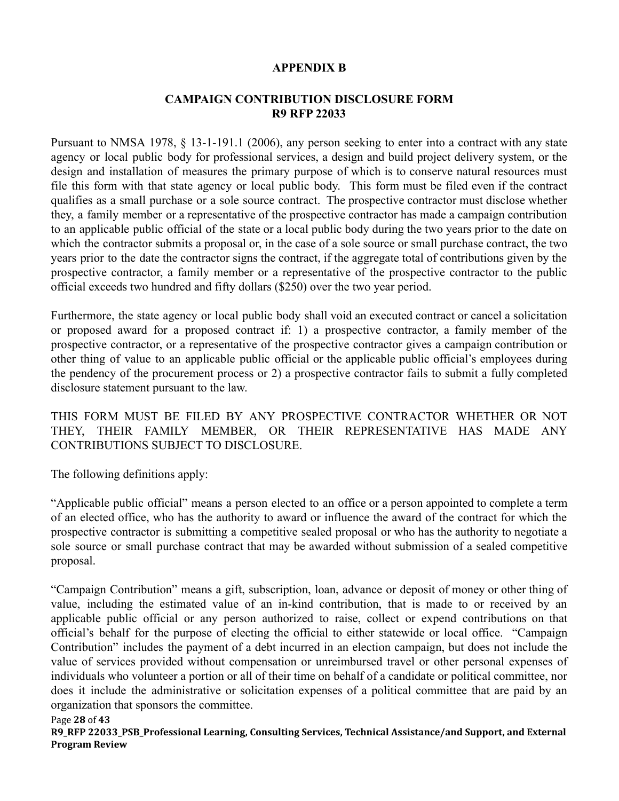#### **APPENDIX B**

#### **CAMPAIGN CONTRIBUTION DISCLOSURE FORM R9 RFP 22033**

<span id="page-27-0"></span>Pursuant to NMSA 1978, § 13-1-191.1 (2006), any person seeking to enter into a contract with any state agency or local public body for professional services, a design and build project delivery system, or the design and installation of measures the primary purpose of which is to conserve natural resources must file this form with that state agency or local public body. This form must be filed even if the contract qualifies as a small purchase or a sole source contract. The prospective contractor must disclose whether they, a family member or a representative of the prospective contractor has made a campaign contribution to an applicable public official of the state or a local public body during the two years prior to the date on which the contractor submits a proposal or, in the case of a sole source or small purchase contract, the two years prior to the date the contractor signs the contract, if the aggregate total of contributions given by the prospective contractor, a family member or a representative of the prospective contractor to the public official exceeds two hundred and fifty dollars (\$250) over the two year period.

Furthermore, the state agency or local public body shall void an executed contract or cancel a solicitation or proposed award for a proposed contract if: 1) a prospective contractor, a family member of the prospective contractor, or a representative of the prospective contractor gives a campaign contribution or other thing of value to an applicable public official or the applicable public official's employees during the pendency of the procurement process or 2) a prospective contractor fails to submit a fully completed disclosure statement pursuant to the law.

THIS FORM MUST BE FILED BY ANY PROSPECTIVE CONTRACTOR WHETHER OR NOT THEY, THEIR FAMILY MEMBER, OR THEIR REPRESENTATIVE HAS MADE ANY CONTRIBUTIONS SUBJECT TO DISCLOSURE.

The following definitions apply:

"Applicable public official" means a person elected to an office or a person appointed to complete a term of an elected office, who has the authority to award or influence the award of the contract for which the prospective contractor is submitting a competitive sealed proposal or who has the authority to negotiate a sole source or small purchase contract that may be awarded without submission of a sealed competitive proposal.

"Campaign Contribution" means a gift, subscription, loan, advance or deposit of money or other thing of value, including the estimated value of an in-kind contribution, that is made to or received by an applicable public official or any person authorized to raise, collect or expend contributions on that official's behalf for the purpose of electing the official to either statewide or local office. "Campaign Contribution" includes the payment of a debt incurred in an election campaign, but does not include the value of services provided without compensation or unreimbursed travel or other personal expenses of individuals who volunteer a portion or all of their time on behalf of a candidate or political committee, nor does it include the administrative or solicitation expenses of a political committee that are paid by an organization that sponsors the committee.

#### Page **28** of **43**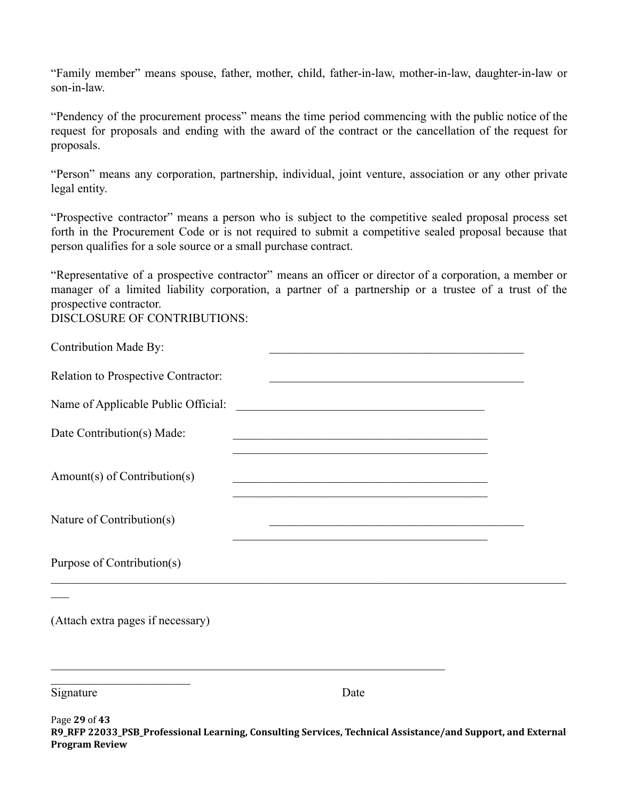"Family member" means spouse, father, mother, child, father-in-law, mother-in-law, daughter-in-law or son-in-law.

"Pendency of the procurement process" means the time period commencing with the public notice of the request for proposals and ending with the award of the contract or the cancellation of the request for proposals.

"Person" means any corporation, partnership, individual, joint venture, association or any other private legal entity.

"Prospective contractor" means a person who is subject to the competitive sealed proposal process set forth in the Procurement Code or is not required to submit a competitive sealed proposal because that person qualifies for a sole source or a small purchase contract.

"Representative of a prospective contractor" means an officer or director of a corporation, a member or manager of a limited liability corporation, a partner of a partnership or a trustee of a trust of the prospective contractor.

DISCLOSURE OF CONTRIBUTIONS:

| Contribution Made By:               | <u> 1960 - Johann John Stone, martin de Britannich (b. 1980)</u>                                                       |  |
|-------------------------------------|------------------------------------------------------------------------------------------------------------------------|--|
| Relation to Prospective Contractor: | <u> 1989 - Johann John Barn, mars an deus an deus an deus an deus an deus an deus an deus an deus an deus an deu</u>   |  |
| Name of Applicable Public Official: | <u> 1989 - Johann John Stein, markin fan it ferstjer fan it ferstjer fan it ferstjer fan it ferstjer fan it fers</u>   |  |
| Date Contribution(s) Made:          | <u> 1989 - Johann John Stone, mark eta berezko erregea eta gainaren 1989 - Erregea eta bat erregea eta bat erregea</u> |  |
| Amount(s) of Contribution(s)        | <u> 1989 - Johann John Stein, marwolaethau (b. 1989)</u>                                                               |  |
| Nature of Contribution(s)           | <u> 1989 - Johann John Stone, mars eta bainar eta industrial eta erromana eta erromana eta erromana eta erromana</u>   |  |
| Purpose of Contribution(s)          |                                                                                                                        |  |
|                                     |                                                                                                                        |  |
| (Attach extra pages if necessary)   |                                                                                                                        |  |
| Signature                           | Date                                                                                                                   |  |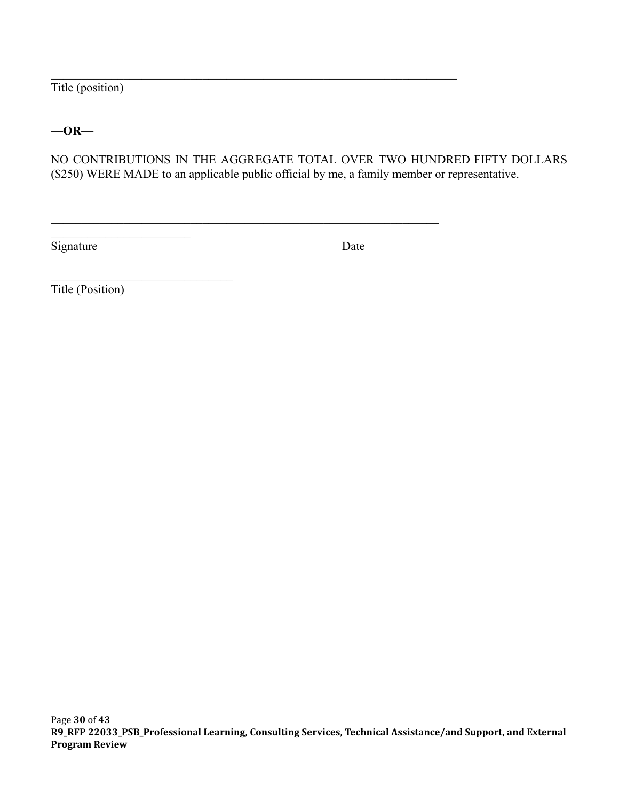Title (position)

**—OR—**

NO CONTRIBUTIONS IN THE AGGREGATE TOTAL OVER TWO HUNDRED FIFTY DOLLARS (\$250) WERE MADE to an applicable public official by me, a family member or representative.

 $\mathcal{L}_\mathcal{L} = \{ \mathcal{L}_\mathcal{L} = \{ \mathcal{L}_\mathcal{L} = \{ \mathcal{L}_\mathcal{L} = \{ \mathcal{L}_\mathcal{L} = \{ \mathcal{L}_\mathcal{L} = \{ \mathcal{L}_\mathcal{L} = \{ \mathcal{L}_\mathcal{L} = \{ \mathcal{L}_\mathcal{L} = \{ \mathcal{L}_\mathcal{L} = \{ \mathcal{L}_\mathcal{L} = \{ \mathcal{L}_\mathcal{L} = \{ \mathcal{L}_\mathcal{L} = \{ \mathcal{L}_\mathcal{L} = \{ \mathcal{L}_\mathcal{$ 

 $\mathcal{L}_\text{max}$  , and the contribution of the contribution of the contribution of the contribution of the contribution of the contribution of the contribution of the contribution of the contribution of the contribution of t

Signature Date

Title (Position)

\_\_\_\_\_\_\_\_\_\_\_\_\_\_\_\_\_\_\_\_\_\_\_

 $\mathcal{L}_\text{max}$  , and the set of the set of the set of the set of the set of the set of the set of the set of the set of the set of the set of the set of the set of the set of the set of the set of the set of the set of the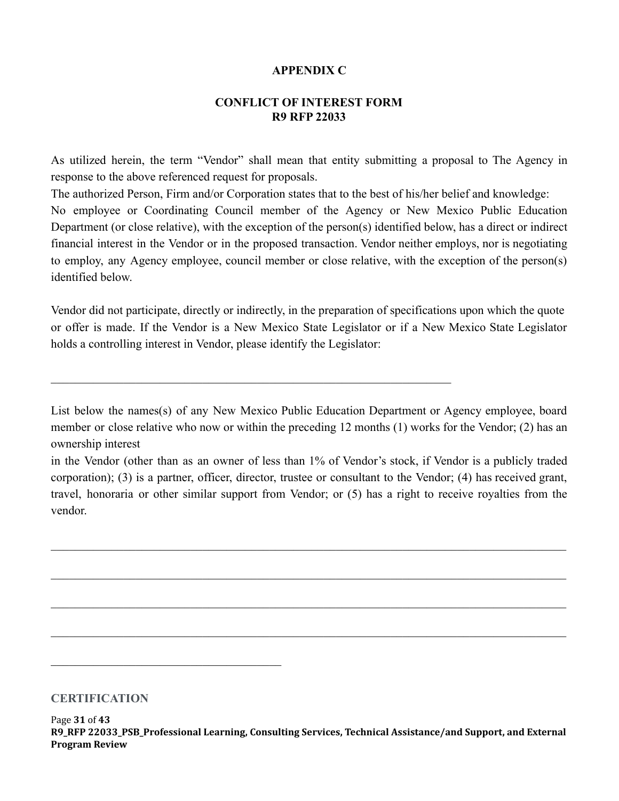#### **APPENDIX C**

#### **CONFLICT OF INTEREST FORM R9 RFP 22033**

<span id="page-30-0"></span>As utilized herein, the term "Vendor" shall mean that entity submitting a proposal to The Agency in response to the above referenced request for proposals.

The authorized Person, Firm and/or Corporation states that to the best of his/her belief and knowledge: No employee or Coordinating Council member of the Agency or New Mexico Public Education Department (or close relative), with the exception of the person(s) identified below, has a direct or indirect financial interest in the Vendor or in the proposed transaction. Vendor neither employs, nor is negotiating to employ, any Agency employee, council member or close relative, with the exception of the person(s) identified below.

Vendor did not participate, directly or indirectly, in the preparation of specifications upon which the quote or offer is made. If the Vendor is a New Mexico State Legislator or if a New Mexico State Legislator holds a controlling interest in Vendor, please identify the Legislator:

 $\mathcal{L}_\mathcal{L} = \{ \mathcal{L}_\mathcal{L} = \{ \mathcal{L}_\mathcal{L} = \{ \mathcal{L}_\mathcal{L} = \{ \mathcal{L}_\mathcal{L} = \{ \mathcal{L}_\mathcal{L} = \{ \mathcal{L}_\mathcal{L} = \{ \mathcal{L}_\mathcal{L} = \{ \mathcal{L}_\mathcal{L} = \{ \mathcal{L}_\mathcal{L} = \{ \mathcal{L}_\mathcal{L} = \{ \mathcal{L}_\mathcal{L} = \{ \mathcal{L}_\mathcal{L} = \{ \mathcal{L}_\mathcal{L} = \{ \mathcal{L}_\mathcal{$ 

List below the names(s) of any New Mexico Public Education Department or Agency employee, board member or close relative who now or within the preceding 12 months (1) works for the Vendor; (2) has an ownership interest

in the Vendor (other than as an owner of less than 1% of Vendor's stock, if Vendor is a publicly traded corporation); (3) is a partner, officer, director, trustee or consultant to the Vendor; (4) has received grant, travel, honoraria or other similar support from Vendor; or (5) has a right to receive royalties from the vendor.

 $\_$  , and the contribution of the contribution of the contribution of the contribution of  $\mathcal{L}_\text{max}$ 

 $\_$  , and the contribution of the contribution of the contribution of the contribution of  $\mathcal{L}_\text{max}$ 

 $\_$  , and the contribution of the contribution of the contribution of the contribution of  $\mathcal{L}_\text{max}$ 

 $\_$  , and the contribution of the contribution of the contribution of the contribution of  $\mathcal{L}_\text{max}$ 

#### **CERTIFICATION**

 $\mathcal{L}_\text{max}$  and  $\mathcal{L}_\text{max}$  and  $\mathcal{L}_\text{max}$  and  $\mathcal{L}_\text{max}$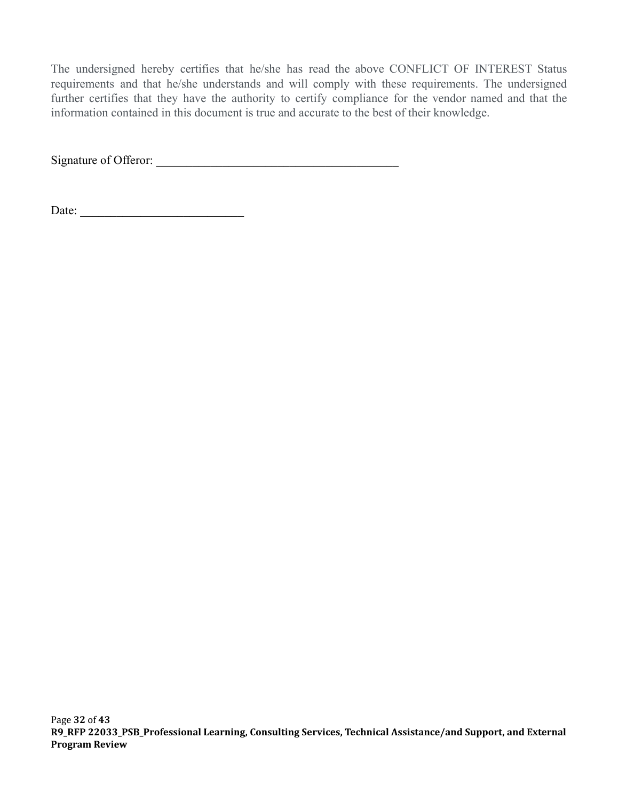The undersigned hereby certifies that he/she has read the above CONFLICT OF INTEREST Status requirements and that he/she understands and will comply with these requirements. The undersigned further certifies that they have the authority to certify compliance for the vendor named and that the information contained in this document is true and accurate to the best of their knowledge.

Signature of Offeror: \_\_\_\_\_\_\_\_\_\_\_\_\_\_\_\_\_\_\_\_\_\_\_\_\_\_\_\_\_\_\_\_\_\_\_\_\_\_\_\_

Date: \_\_\_\_\_\_\_\_\_\_\_\_\_\_\_\_\_\_\_\_\_\_\_\_\_\_\_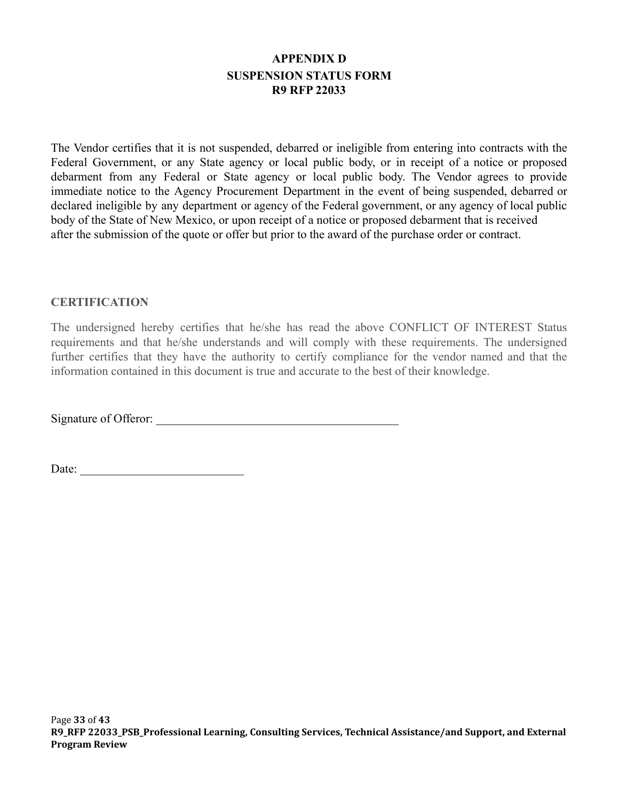# **APPENDIX D SUSPENSION STATUS FORM R9 RFP 22033**

<span id="page-32-0"></span>The Vendor certifies that it is not suspended, debarred or ineligible from entering into contracts with the Federal Government, or any State agency or local public body, or in receipt of a notice or proposed debarment from any Federal or State agency or local public body. The Vendor agrees to provide immediate notice to the Agency Procurement Department in the event of being suspended, debarred or declared ineligible by any department or agency of the Federal government, or any agency of local public body of the State of New Mexico, or upon receipt of a notice or proposed debarment that is received after the submission of the quote or offer but prior to the award of the purchase order or contract.

#### **CERTIFICATION**

The undersigned hereby certifies that he/she has read the above CONFLICT OF INTEREST Status requirements and that he/she understands and will comply with these requirements. The undersigned further certifies that they have the authority to certify compliance for the vendor named and that the information contained in this document is true and accurate to the best of their knowledge.

Signature of Offeror: \_\_\_\_\_\_\_\_\_\_\_\_\_\_\_\_\_\_\_\_\_\_\_\_\_\_\_\_\_\_\_\_\_\_\_\_\_\_\_\_

Date: \_\_\_\_\_\_\_\_\_\_\_\_\_\_\_\_\_\_\_\_\_\_\_\_\_\_\_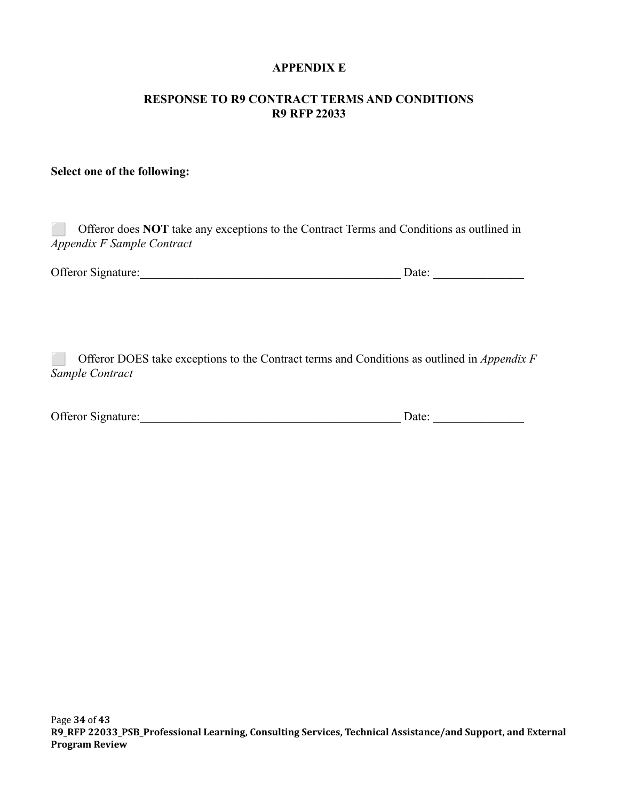### **APPENDIX E**

#### <span id="page-33-0"></span>**RESPONSE TO R9 CONTRACT TERMS AND CONDITIONS R9 RFP 22033**

# **Select one of the following:**

| Appendix F Sample Contract | Offeror does <b>NOT</b> take any exceptions to the Contract Terms and Conditions as outlined in |
|----------------------------|-------------------------------------------------------------------------------------------------|
| <b>Offeror Signature:</b>  | Date:                                                                                           |
|                            |                                                                                                 |

⬜ Offeror DOES take exceptions to the Contract terms and Conditions as outlined in *Appendix F Sample Contract*

| Offeror Signature: |  | Jate: |  |
|--------------------|--|-------|--|
|--------------------|--|-------|--|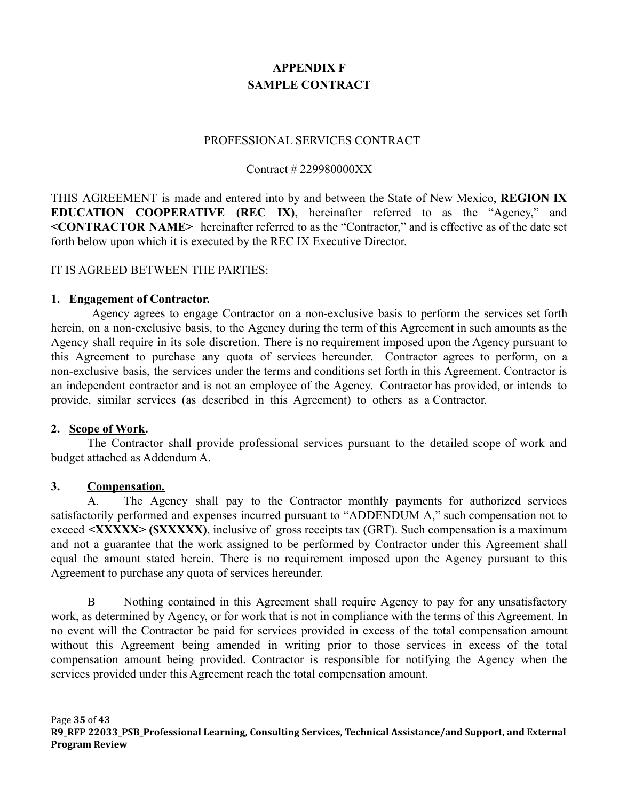# **APPENDIX F SAMPLE CONTRACT**

#### PROFESSIONAL SERVICES CONTRACT

#### Contract # 229980000XX

<span id="page-34-0"></span>THIS AGREEMENT is made and entered into by and between the State of New Mexico, **REGION IX EDUCATION COOPERATIVE (REC IX)**, hereinafter referred to as the "Agency," and **<CONTRACTOR NAME>** hereinafter referred to as the "Contractor," and is effective as of the date set forth below upon which it is executed by the REC IX Executive Director.

#### IT IS AGREED BETWEEN THE PARTIES:

#### **1. Engagement of Contractor.**

Agency agrees to engage Contractor on a non-exclusive basis to perform the services set forth herein, on a non-exclusive basis, to the Agency during the term of this Agreement in such amounts as the Agency shall require in its sole discretion. There is no requirement imposed upon the Agency pursuant to this Agreement to purchase any quota of services hereunder. Contractor agrees to perform, on a non-exclusive basis, the services under the terms and conditions set forth in this Agreement. Contractor is an independent contractor and is not an employee of the Agency. Contractor has provided, or intends to provide, similar services (as described in this Agreement) to others as a Contractor.

#### **2. Scope of Work.**

The Contractor shall provide professional services pursuant to the detailed scope of work and budget attached as Addendum A.

#### **3. Compensation***.*

A. The Agency shall pay to the Contractor monthly payments for authorized services satisfactorily performed and expenses incurred pursuant to "ADDENDUM A," such compensation not to exceed **<XXXXX> (\$XXXXX)**, inclusive of gross receipts tax (GRT). Such compensation is a maximum and not a guarantee that the work assigned to be performed by Contractor under this Agreement shall equal the amount stated herein. There is no requirement imposed upon the Agency pursuant to this Agreement to purchase any quota of services hereunder.

B Nothing contained in this Agreement shall require Agency to pay for any unsatisfactory work, as determined by Agency, or for work that is not in compliance with the terms of this Agreement. In no event will the Contractor be paid for services provided in excess of the total compensation amount without this Agreement being amended in writing prior to those services in excess of the total compensation amount being provided. Contractor is responsible for notifying the Agency when the services provided under this Agreement reach the total compensation amount.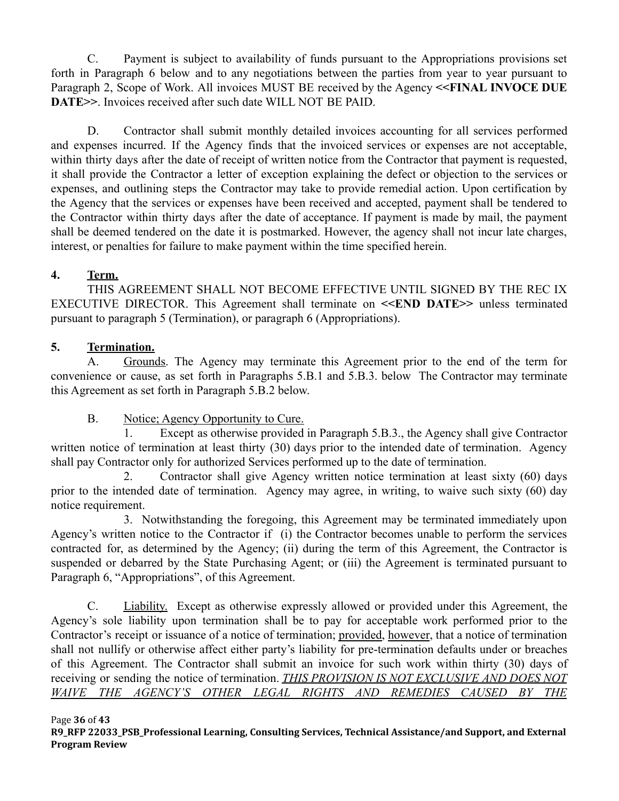C. Payment is subject to availability of funds pursuant to the Appropriations provisions set forth in Paragraph 6 below and to any negotiations between the parties from year to year pursuant to Paragraph 2, Scope of Work. All invoices MUST BE received by the Agency **<<FINAL INVOCE DUE DATE>>**. Invoices received after such date WILL NOT BE PAID.

D. Contractor shall submit monthly detailed invoices accounting for all services performed and expenses incurred. If the Agency finds that the invoiced services or expenses are not acceptable, within thirty days after the date of receipt of written notice from the Contractor that payment is requested, it shall provide the Contractor a letter of exception explaining the defect or objection to the services or expenses, and outlining steps the Contractor may take to provide remedial action. Upon certification by the Agency that the services or expenses have been received and accepted, payment shall be tendered to the Contractor within thirty days after the date of acceptance. If payment is made by mail, the payment shall be deemed tendered on the date it is postmarked. However, the agency shall not incur late charges, interest, or penalties for failure to make payment within the time specified herein.

## **4. Term.**

THIS AGREEMENT SHALL NOT BECOME EFFECTIVE UNTIL SIGNED BY THE REC IX EXECUTIVE DIRECTOR. This Agreement shall terminate on **<<END DATE>>** unless terminated pursuant to paragraph 5 (Termination), or paragraph 6 (Appropriations).

# **5. Termination.**

A. Grounds. The Agency may terminate this Agreement prior to the end of the term for convenience or cause, as set forth in Paragraphs 5.B.1 and 5.B.3. below The Contractor may terminate this Agreement as set forth in Paragraph 5.B.2 below.

## B. Notice; Agency Opportunity to Cure.

1. Except as otherwise provided in Paragraph 5.B.3., the Agency shall give Contractor written notice of termination at least thirty (30) days prior to the intended date of termination. Agency shall pay Contractor only for authorized Services performed up to the date of termination.

2. Contractor shall give Agency written notice termination at least sixty (60) days prior to the intended date of termination. Agency may agree, in writing, to waive such sixty (60) day notice requirement.

3. Notwithstanding the foregoing, this Agreement may be terminated immediately upon Agency's written notice to the Contractor if (i) the Contractor becomes unable to perform the services contracted for, as determined by the Agency; (ii) during the term of this Agreement, the Contractor is suspended or debarred by the State Purchasing Agent; or (iii) the Agreement is terminated pursuant to Paragraph 6, "Appropriations", of this Agreement.

C. Liability. Except as otherwise expressly allowed or provided under this Agreement, the Agency's sole liability upon termination shall be to pay for acceptable work performed prior to the Contractor's receipt or issuance of a notice of termination; provided, however, that a notice of termination shall not nullify or otherwise affect either party's liability for pre-termination defaults under or breaches of this Agreement. The Contractor shall submit an invoice for such work within thirty (30) days of receiving or sending the notice of termination. *THIS PROVISION IS NOT EXCLUSIVE AND DOES NOT WAIVE THE AGENCY'S OTHER LEGAL RIGHTS AND REMEDIES CAUSED BY THE*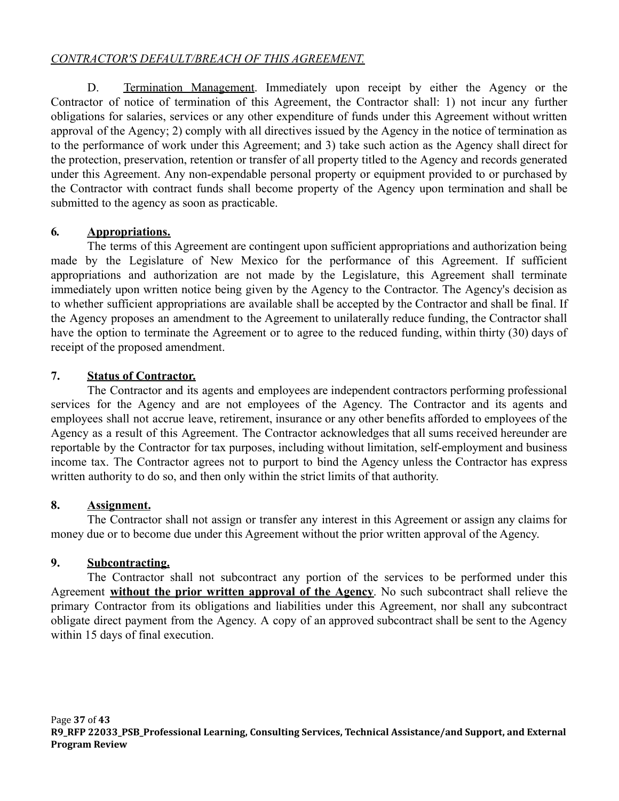## *CONTRACTOR'S DEFAULT/BREACH OF THIS AGREEMENT.*

D. Termination Management. Immediately upon receipt by either the Agency or the Contractor of notice of termination of this Agreement, the Contractor shall: 1) not incur any further obligations for salaries, services or any other expenditure of funds under this Agreement without written approval of the Agency; 2) comply with all directives issued by the Agency in the notice of termination as to the performance of work under this Agreement; and 3) take such action as the Agency shall direct for the protection, preservation, retention or transfer of all property titled to the Agency and records generated under this Agreement. Any non-expendable personal property or equipment provided to or purchased by the Contractor with contract funds shall become property of the Agency upon termination and shall be submitted to the agency as soon as practicable.

## **6***.* **Appropriations.**

The terms of this Agreement are contingent upon sufficient appropriations and authorization being made by the Legislature of New Mexico for the performance of this Agreement. If sufficient appropriations and authorization are not made by the Legislature, this Agreement shall terminate immediately upon written notice being given by the Agency to the Contractor. The Agency's decision as to whether sufficient appropriations are available shall be accepted by the Contractor and shall be final. If the Agency proposes an amendment to the Agreement to unilaterally reduce funding, the Contractor shall have the option to terminate the Agreement or to agree to the reduced funding, within thirty (30) days of receipt of the proposed amendment.

## **7. Status of Contractor.**

The Contractor and its agents and employees are independent contractors performing professional services for the Agency and are not employees of the Agency. The Contractor and its agents and employees shall not accrue leave, retirement, insurance or any other benefits afforded to employees of the Agency as a result of this Agreement. The Contractor acknowledges that all sums received hereunder are reportable by the Contractor for tax purposes, including without limitation, self-employment and business income tax. The Contractor agrees not to purport to bind the Agency unless the Contractor has express written authority to do so, and then only within the strict limits of that authority.

### **8. Assignment.**

The Contractor shall not assign or transfer any interest in this Agreement or assign any claims for money due or to become due under this Agreement without the prior written approval of the Agency.

## **9. Subcontracting.**

The Contractor shall not subcontract any portion of the services to be performed under this Agreement **without the prior written approval of the Agency**. No such subcontract shall relieve the primary Contractor from its obligations and liabilities under this Agreement, nor shall any subcontract obligate direct payment from the Agency. A copy of an approved subcontract shall be sent to the Agency within 15 days of final execution.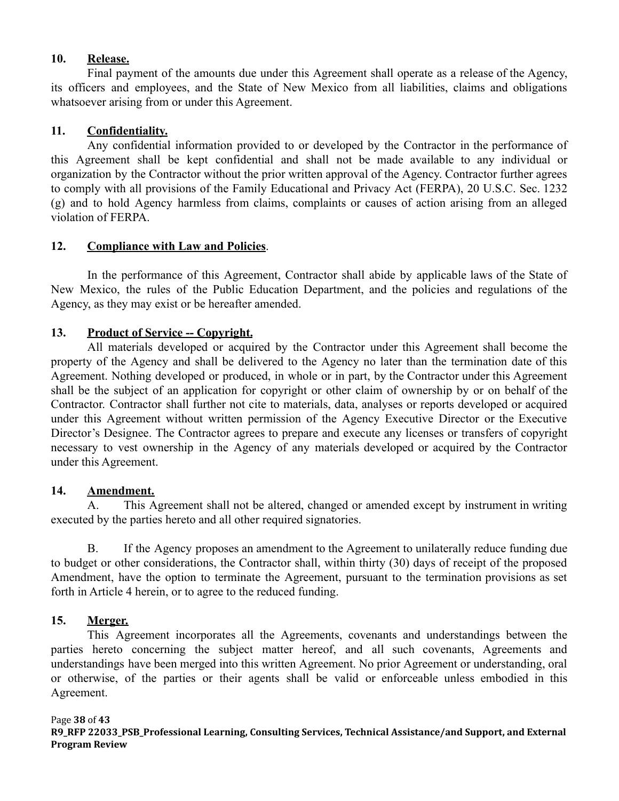#### **10. Release.**

Final payment of the amounts due under this Agreement shall operate as a release of the Agency, its officers and employees, and the State of New Mexico from all liabilities, claims and obligations whatsoever arising from or under this Agreement.

### **11. Confidentiality.**

Any confidential information provided to or developed by the Contractor in the performance of this Agreement shall be kept confidential and shall not be made available to any individual or organization by the Contractor without the prior written approval of the Agency. Contractor further agrees to comply with all provisions of the Family Educational and Privacy Act (FERPA), 20 U.S.C. Sec. 1232 (g) and to hold Agency harmless from claims, complaints or causes of action arising from an alleged violation of FERPA.

### **12. Compliance with Law and Policies**.

In the performance of this Agreement, Contractor shall abide by applicable laws of the State of New Mexico, the rules of the Public Education Department, and the policies and regulations of the Agency, as they may exist or be hereafter amended.

## **13. Product of Service -- Copyright.**

All materials developed or acquired by the Contractor under this Agreement shall become the property of the Agency and shall be delivered to the Agency no later than the termination date of this Agreement. Nothing developed or produced, in whole or in part, by the Contractor under this Agreement shall be the subject of an application for copyright or other claim of ownership by or on behalf of the Contractor. Contractor shall further not cite to materials, data, analyses or reports developed or acquired under this Agreement without written permission of the Agency Executive Director or the Executive Director's Designee. The Contractor agrees to prepare and execute any licenses or transfers of copyright necessary to vest ownership in the Agency of any materials developed or acquired by the Contractor under this Agreement.

### **14. Amendment.**

A. This Agreement shall not be altered, changed or amended except by instrument in writing executed by the parties hereto and all other required signatories.

B. If the Agency proposes an amendment to the Agreement to unilaterally reduce funding due to budget or other considerations, the Contractor shall, within thirty (30) days of receipt of the proposed Amendment, have the option to terminate the Agreement, pursuant to the termination provisions as set forth in Article 4 herein, or to agree to the reduced funding.

## **15. Merger.**

This Agreement incorporates all the Agreements, covenants and understandings between the parties hereto concerning the subject matter hereof, and all such covenants, Agreements and understandings have been merged into this written Agreement. No prior Agreement or understanding, oral or otherwise, of the parties or their agents shall be valid or enforceable unless embodied in this Agreement.

### Page **38** of **43**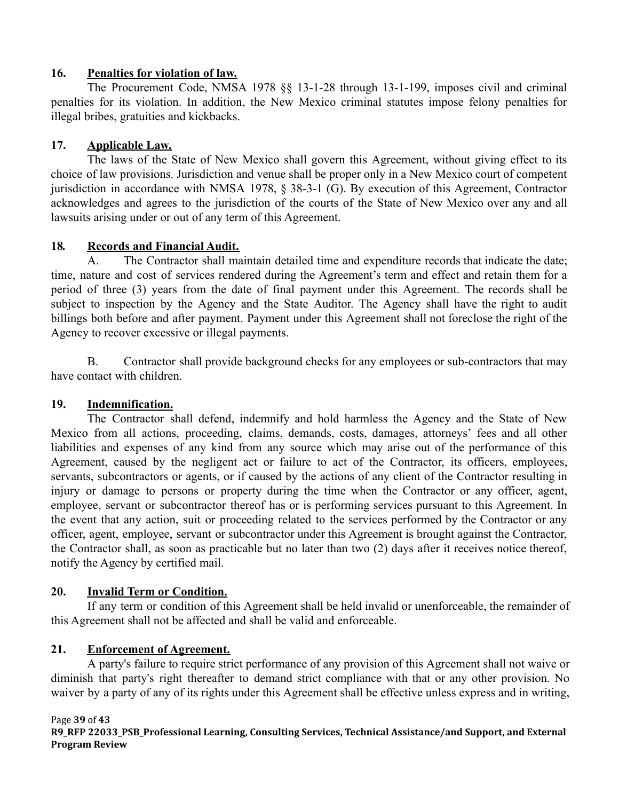### **16. Penalties for violation of law.**

The Procurement Code, NMSA 1978 §§ 13-1-28 through 13-1-199, imposes civil and criminal penalties for its violation. In addition, the New Mexico criminal statutes impose felony penalties for illegal bribes, gratuities and kickbacks.

# **17. Applicable Law.**

The laws of the State of New Mexico shall govern this Agreement, without giving effect to its choice of law provisions. Jurisdiction and venue shall be proper only in a New Mexico court of competent jurisdiction in accordance with NMSA 1978, § 38-3-1 (G). By execution of this Agreement, Contractor acknowledges and agrees to the jurisdiction of the courts of the State of New Mexico over any and all lawsuits arising under or out of any term of this Agreement.

# **18***.* **Records and Financial Audit.**

A. The Contractor shall maintain detailed time and expenditure records that indicate the date; time, nature and cost of services rendered during the Agreement's term and effect and retain them for a period of three (3) years from the date of final payment under this Agreement. The records shall be subject to inspection by the Agency and the State Auditor. The Agency shall have the right to audit billings both before and after payment. Payment under this Agreement shall not foreclose the right of the Agency to recover excessive or illegal payments.

B. Contractor shall provide background checks for any employees or sub-contractors that may have contact with children.

## **19. Indemnification.**

The Contractor shall defend, indemnify and hold harmless the Agency and the State of New Mexico from all actions, proceeding, claims, demands, costs, damages, attorneys' fees and all other liabilities and expenses of any kind from any source which may arise out of the performance of this Agreement, caused by the negligent act or failure to act of the Contractor, its officers, employees, servants, subcontractors or agents, or if caused by the actions of any client of the Contractor resulting in injury or damage to persons or property during the time when the Contractor or any officer, agent, employee, servant or subcontractor thereof has or is performing services pursuant to this Agreement. In the event that any action, suit or proceeding related to the services performed by the Contractor or any officer, agent, employee, servant or subcontractor under this Agreement is brought against the Contractor, the Contractor shall, as soon as practicable but no later than two (2) days after it receives notice thereof, notify the Agency by certified mail.

## **20. Invalid Term or Condition.**

If any term or condition of this Agreement shall be held invalid or unenforceable, the remainder of this Agreement shall not be affected and shall be valid and enforceable.

## **21. Enforcement of Agreement.**

A party's failure to require strict performance of any provision of this Agreement shall not waive or diminish that party's right thereafter to demand strict compliance with that or any other provision. No waiver by a party of any of its rights under this Agreement shall be effective unless express and in writing,

### Page **39** of **43**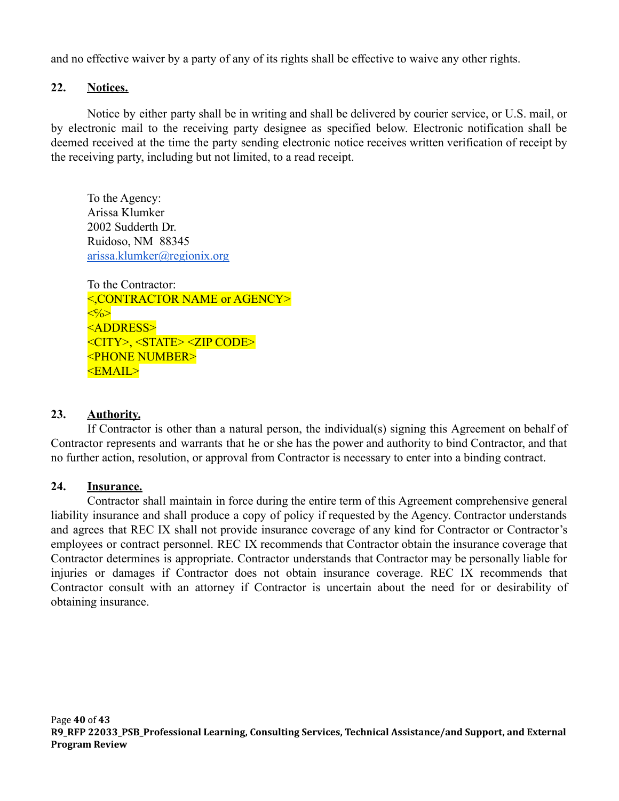and no effective waiver by a party of any of its rights shall be effective to waive any other rights.

### **22. Notices.**

Notice by either party shall be in writing and shall be delivered by courier service, or U.S. mail, or by electronic mail to the receiving party designee as specified below. Electronic notification shall be deemed received at the time the party sending electronic notice receives written verification of receipt by the receiving party, including but not limited, to a read receipt.

To the Agency: Arissa Klumker 2002 Sudderth Dr. Ruidoso, NM 88345 [arissa.klumker@regionix.org](mailto:arissa.klumker@regionix.org)

To the Contractor: <,CONTRACTOR NAME or AGENCY>  $\langle\langle\cdot\rangle\langle\rangle\rangle$ <ADDRESS> <CITY>, <STATE> <ZIP CODE> <PHONE NUMBER> <EMAIL>

## **23. Authority.**

If Contractor is other than a natural person, the individual(s) signing this Agreement on behalf of Contractor represents and warrants that he or she has the power and authority to bind Contractor, and that no further action, resolution, or approval from Contractor is necessary to enter into a binding contract.

### **24. Insurance.**

Contractor shall maintain in force during the entire term of this Agreement comprehensive general liability insurance and shall produce a copy of policy if requested by the Agency. Contractor understands and agrees that REC IX shall not provide insurance coverage of any kind for Contractor or Contractor's employees or contract personnel. REC IX recommends that Contractor obtain the insurance coverage that Contractor determines is appropriate. Contractor understands that Contractor may be personally liable for injuries or damages if Contractor does not obtain insurance coverage. REC IX recommends that Contractor consult with an attorney if Contractor is uncertain about the need for or desirability of obtaining insurance.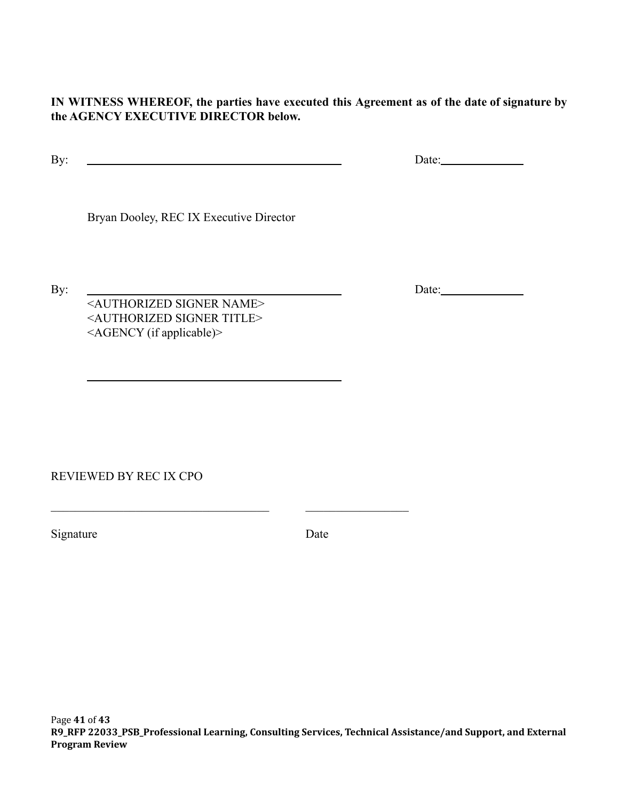**IN WITNESS WHEREOF, the parties have executed this Agreement as of the date of signature by the AGENCY EXECUTIVE DIRECTOR below.**

By: <u>Date:</u> Date:

Bryan Dooley, REC IX Executive Director

By: <u>Date:</u> <AUTHORIZED SIGNER NAME> <AUTHORIZED SIGNER TITLE> <AGENCY (if applicable)>

 $\_$  , and the set of the set of the set of the set of the set of the set of the set of the set of the set of the set of the set of the set of the set of the set of the set of the set of the set of the set of the set of th

REVIEWED BY REC IX CPO

Signature Date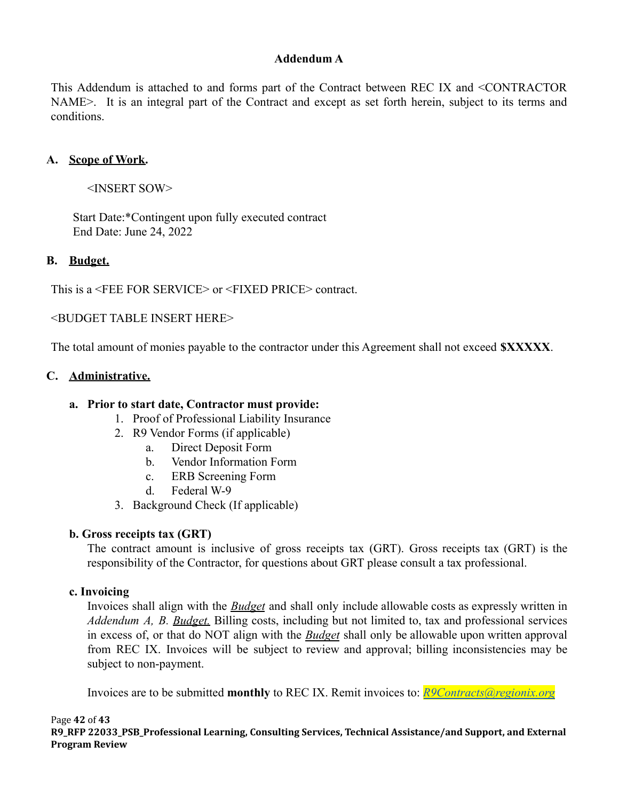### **Addendum A**

This Addendum is attached to and forms part of the Contract between REC IX and <CONTRACTOR NAME>. It is an integral part of the Contract and except as set forth herein, subject to its terms and conditions.

### **A. Scope of Work.**

<INSERT SOW>

Start Date:\*Contingent upon fully executed contract End Date: June 24, 2022

#### **B. Budget.**

This is a <FEE FOR SERVICE> or <FIXED PRICE> contract.

<BUDGET TABLE INSERT HERE>

The total amount of monies payable to the contractor under this Agreement shall not exceed **\$XXXXX**.

#### **C. Administrative.**

#### **a. Prior to start date, Contractor must provide:**

- 1. Proof of Professional Liability Insurance
- 2. R9 Vendor Forms (if applicable)
	- a. Direct Deposit Form
	- b. Vendor Information Form
	- c. ERB Screening Form
	- d. Federal W-9
- 3. Background Check (If applicable)

### **b. Gross receipts tax (GRT)**

The contract amount is inclusive of gross receipts tax (GRT). Gross receipts tax (GRT) is the responsibility of the Contractor, for questions about GRT please consult a tax professional.

#### **c. Invoicing**

Invoices shall align with the *Budget* and shall only include allowable costs as expressly written in *Addendum A, B. Budget.* Billing costs, including but not limited to, tax and professional services in excess of, or that do NOT align with the *Budget* shall only be allowable upon written approval from REC IX. Invoices will be subject to review and approval; billing inconsistencies may be subject to non-payment.

Invoices are to be submitted **monthly** to REC IX. Remit invoices to: *[R9Contracts@regionix.org](mailto:R9Contracts@regionix.org)*